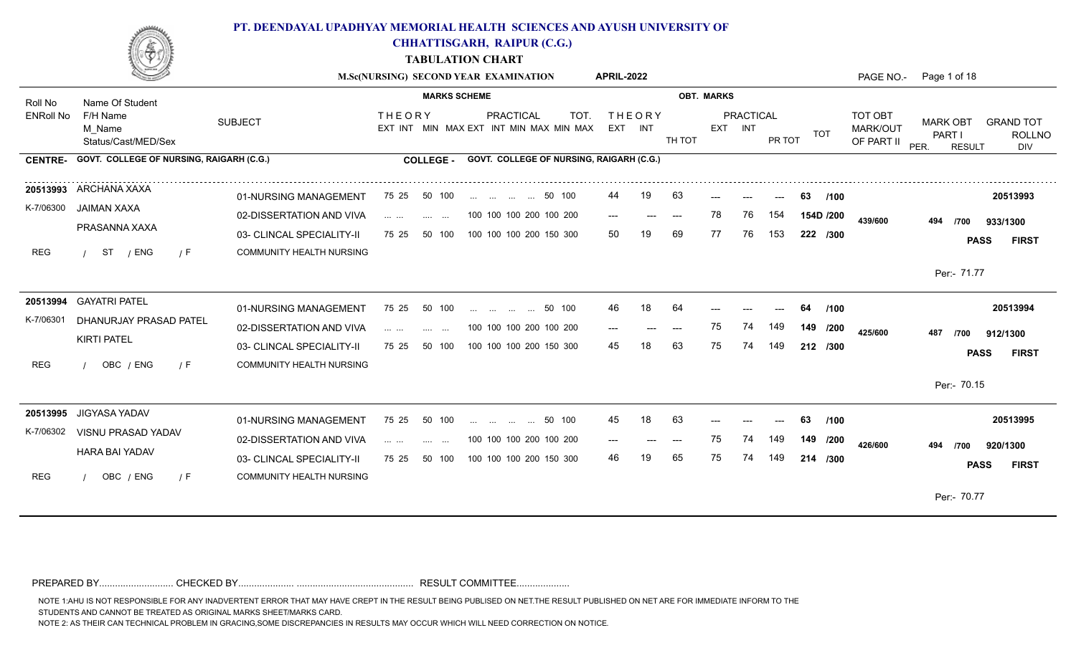

**CHHATTISGARH, RAIPUR (C.G.)**

**TABULATION CHART**

|                  |                                              |                                                              |                                                                                                                                            | M.Sc(NURSING) SECOND YEAR EXAMINATION                                     | APRIL-2022               |             |                             |            |            | PAGE NO.-                         | Page 1 of 18                                                                                   |
|------------------|----------------------------------------------|--------------------------------------------------------------|--------------------------------------------------------------------------------------------------------------------------------------------|---------------------------------------------------------------------------|--------------------------|-------------|-----------------------------|------------|------------|-----------------------------------|------------------------------------------------------------------------------------------------|
| Roll No          | Name Of Student                              |                                                              |                                                                                                                                            | <b>MARKS SCHEME</b>                                                       |                          |             | <b>OBT. MARKS</b>           |            |            |                                   |                                                                                                |
| <b>ENRoll No</b> | F/H Name<br>M Name<br>Status/Cast/MED/Sex    | <b>SUBJECT</b>                                               | <b>THEORY</b>                                                                                                                              | <b>PRACTICAL</b><br><b>TOT</b><br>EXT INT MIN MAX EXT INT MIN MAX MIN MAX | <b>THEORY</b><br>EXT INT | TH TOT      | <b>PRACTICAL</b><br>EXT INT | PR TOT     | <b>TOT</b> | TOT OBT<br>MARK/OUT<br>OF PART II | <b>MARK OBT</b><br><b>GRAND TOT</b><br>PART I<br><b>ROLLNO</b><br>PER.<br><b>RESULT</b><br>DIV |
| <b>CENTRE-</b>   | GOVT. COLLEGE OF NURSING, RAIGARH (C.G.)     |                                                              | <b>COLLEGE -</b>                                                                                                                           | GOVT. COLLEGE OF NURSING, RAIGARH (C.G.)                                  |                          |             |                             |            |            |                                   |                                                                                                |
| K-7/06300        | 20513993 ARCHANA XAXA<br>JAIMAN XAXA         | 01-NURSING MANAGEMENT                                        | 75 25<br>50 100                                                                                                                            | 50 100                                                                    | 44<br>19                 | 63          |                             | $---$      | 63<br>/100 |                                   | 20513993                                                                                       |
|                  | PRASANNA XAXA                                | 02-DISSERTATION AND VIVA                                     | $\mathcal{L}_{\mathcal{A}}$ and $\mathcal{L}_{\mathcal{A}}$ and $\mathcal{L}_{\mathcal{A}}$<br><b>Contract Contract</b><br>75 25<br>50 100 | 100 100 100 200 100 200<br>100 100 100 200 150 300                        | $---$<br>$---$<br>50     | $---$<br>69 | 78<br>76<br>77<br>76        | 154<br>153 | 154D /200  | 439/600                           | 494<br>/700<br>933/1300                                                                        |
| REG              | / ENG<br>ST<br>/ F                           | 03- CLINCAL SPECIALITY-II<br><b>COMMUNITY HEALTH NURSING</b> |                                                                                                                                            |                                                                           |                          |             |                             |            | 222 /300   |                                   | <b>PASS</b><br><b>FIRST</b>                                                                    |
|                  |                                              |                                                              |                                                                                                                                            |                                                                           |                          |             |                             |            |            |                                   | Per:- 71.77                                                                                    |
|                  | 20513994 GAYATRI PATEL                       | 01-NURSING MANAGEMENT                                        | 75 25<br>50 100                                                                                                                            | 50 100<br>and the same state of the same                                  | 18<br>46                 | 64          |                             |            | /100<br>64 |                                   | 20513994                                                                                       |
| K-7/06301        | DHANURJAY PRASAD PATEL<br><b>KIRTI PATEL</b> | 02-DISSERTATION AND VIVA                                     | .<br><b>Service Control</b>                                                                                                                | 100 100 100 200 100 200                                                   | $---$                    |             | 75<br>74                    | 149        | 149 /200   | 425/600                           | 487<br>912/1300<br>/700                                                                        |
| <b>REG</b>       | OBC / ENG<br>$\sqrt{F}$                      | 03- CLINCAL SPECIALITY-II<br><b>COMMUNITY HEALTH NURSING</b> | 50 100<br>75 25                                                                                                                            | 100 100 100 200 150 300                                                   | 45                       | 63          | 75<br>74                    | 149        | 212 /300   |                                   | <b>FIRST</b><br><b>PASS</b>                                                                    |
|                  |                                              |                                                              |                                                                                                                                            |                                                                           |                          |             |                             |            |            |                                   | Per:- 70.15                                                                                    |
|                  | 20513995 JIGYASA YADAV                       | 01-NURSING MANAGEMENT                                        | 75 25<br>50 100                                                                                                                            | 50 100<br>$\mathbf{r}$ and $\mathbf{r}$ are the set of $\mathbf{r}$       | 18<br>45                 | 63          |                             | $---$      | 63<br>/100 |                                   | 20513995                                                                                       |
| K-7/06302        | VISNU PRASAD YADAV<br><b>HARA BAI YADAV</b>  | 02-DISSERTATION AND VIVA                                     | and the con-<br>$\sim 100$ .<br>$\sim$ 100 $\mu$                                                                                           | 100 100 100 200 100 200                                                   | ---                      |             | 75<br>74                    | 149        | 149 /200   | 426/600                           | 494<br>920/1300<br>/700                                                                        |
| REG              | OBC / ENG<br>/ F                             | 03- CLINCAL SPECIALITY-II<br><b>COMMUNITY HEALTH NURSING</b> | 75 25<br>50 100                                                                                                                            | 100 100 100 200 150 300                                                   | 46                       | 65          | 75<br>74                    | 149        | 214 /300   |                                   | <b>PASS</b><br><b>FIRST</b>                                                                    |
|                  |                                              |                                                              |                                                                                                                                            |                                                                           |                          |             |                             |            |            |                                   | Per:- 70.77                                                                                    |
|                  |                                              |                                                              |                                                                                                                                            |                                                                           |                          |             |                             |            |            |                                   |                                                                                                |

PREPARED BY............................ CHECKED BY..................... ............................................ RESULT COMMITTEE....................

NOTE 1:AHU IS NOT RESPONSIBLE FOR ANY INADVERTENT ERROR THAT MAY HAVE CREPT IN THE RESULT BEING PUBLISED ON NET.THE RESULT PUBLISHED ON NET ARE FOR IMMEDIATE INFORM TO THE

STUDENTS AND CANNOT BE TREATED AS ORIGINAL MARKS SHEET/MARKS CARD.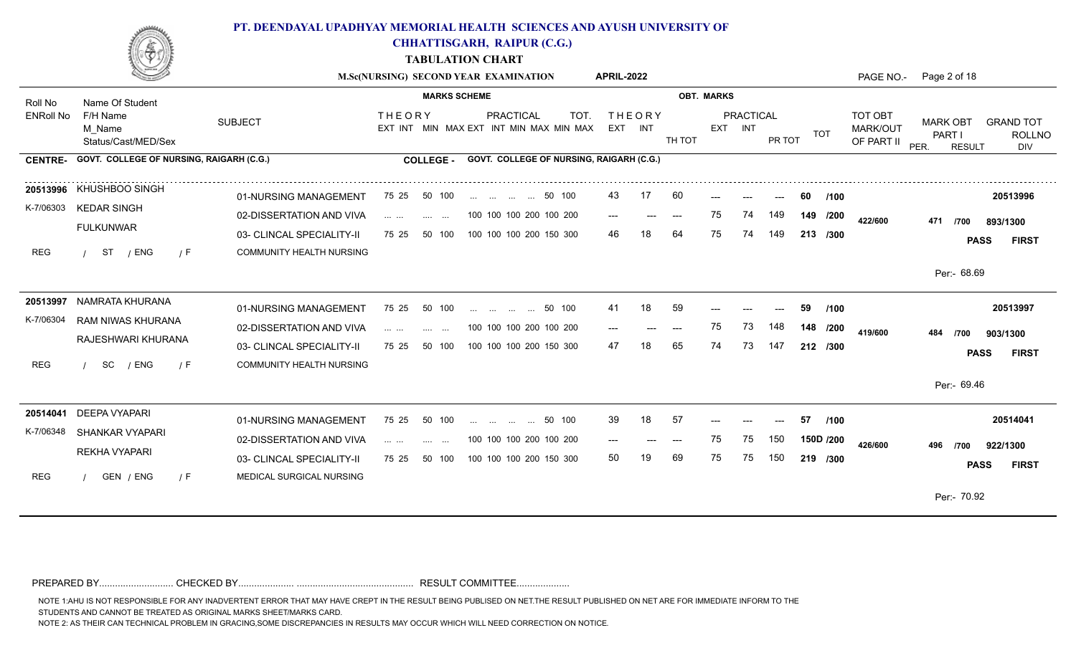

**CHHATTISGARH, RAIPUR (C.G.)**

**TABULATION CHART**

|                  |                                           |                                 |                                                                                                                                                                                                | M.Sc(NURSING) SECOND YEAR EXAMINATION                                     | <b>APRIL-2022</b>                                |        |                   |                     |             |                                                 | PAGE NO.- Page 2 of 18                             |                                          |
|------------------|-------------------------------------------|---------------------------------|------------------------------------------------------------------------------------------------------------------------------------------------------------------------------------------------|---------------------------------------------------------------------------|--------------------------------------------------|--------|-------------------|---------------------|-------------|-------------------------------------------------|----------------------------------------------------|------------------------------------------|
| Roll No          | Name Of Student                           |                                 | <b>MARKS SCHEME</b>                                                                                                                                                                            |                                                                           |                                                  |        | <b>OBT. MARKS</b> |                     |             |                                                 |                                                    |                                          |
| <b>ENRoll No</b> | F/H Name<br>M Name<br>Status/Cast/MED/Sex | <b>SUBJECT</b>                  | <b>THEORY</b>                                                                                                                                                                                  | <b>PRACTICAL</b><br><b>TOT</b><br>EXT INT MIN MAX EXT INT MIN MAX MIN MAX | THEORY<br>EXT INT                                | TH TOT | EXT INT           | PRACTICAL<br>PR TOT | TOT         | <b>TOT OBT</b><br><b>MARK/OUT</b><br>OF PART II | <b>MARK OBT</b><br>PART I<br>PER.<br><b>RESULT</b> | <b>GRAND TOT</b><br><b>ROLLNO</b><br>DIV |
| <b>CENTRE-</b>   | GOVT. COLLEGE OF NURSING, RAIGARH (C.G.)  |                                 | <b>COLLEGE -</b>                                                                                                                                                                               | GOVT. COLLEGE OF NURSING, RAIGARH (C.G.)                                  |                                                  |        |                   |                     |             |                                                 |                                                    |                                          |
|                  | 20513996 KHUSHBOO SINGH                   | 01-NURSING MANAGEMENT           | 75 25<br>50 100                                                                                                                                                                                | 50 100                                                                    | 43.<br>17                                        | 60     |                   |                     | 60.<br>/100 |                                                 |                                                    | 20513996                                 |
|                  | K-7/06303 KEDAR SINGH                     | 02-DISSERTATION AND VIVA        | $\mathcal{L}_{\mathcal{A}}$ and $\mathcal{L}_{\mathcal{A}}$ .<br><b>Contract Contract</b>                                                                                                      | 100 100 100 200 100 200                                                   | $\qquad \qquad - -$<br>$\qquad \qquad -\qquad -$ | $---$  | 75                | 149<br>74           | 149 /200    | 422/600                                         | 471 /700                                           | 893/1300                                 |
|                  | <b>FULKUNWAR</b>                          | 03- CLINCAL SPECIALITY-II       | 75 25<br>50 100                                                                                                                                                                                | 100 100 100 200 150 300                                                   | 46                                               | 64     |                   | 74<br>149           | 213 /300    |                                                 | <b>PASS</b>                                        | <b>FIRST</b>                             |
| REG              | ST<br>/ ENG<br>/ F                        | COMMUNITY HEALTH NURSING        |                                                                                                                                                                                                |                                                                           |                                                  |        |                   |                     |             |                                                 |                                                    |                                          |
|                  |                                           |                                 |                                                                                                                                                                                                |                                                                           |                                                  |        |                   |                     |             |                                                 | Per:- 68.69                                        |                                          |
|                  | 20513997 NAMRATA KHURANA                  | 01-NURSING MANAGEMENT           | 75 25<br>50 100                                                                                                                                                                                | 50 100<br><b>Contract Contract</b><br>and the state                       | 18<br>41                                         | 59     |                   |                     | 59<br>/100  |                                                 |                                                    | 20513997                                 |
| K-7/06304        | RAM NIWAS KHURANA                         | 02-DISSERTATION AND VIVA        | $\mathbf{1}$ and $\mathbf{1}$ and $\mathbf{1}$<br><b>Service Contract</b>                                                                                                                      | 100 100 100 200 100 200                                                   | $---$                                            | $---$  | 75                | 73<br>148           | 148 /200    | 419/600                                         | 484<br>/700                                        | 903/1300                                 |
|                  | RAJESHWARI KHURANA                        | 03- CLINCAL SPECIALITY-II       | 50 100<br>75 25                                                                                                                                                                                | 100 100 100 200 150 300                                                   | 47                                               | 65     | 74                | 73<br>147           | 212 /300    |                                                 | <b>PASS</b>                                        | <b>FIRST</b>                             |
| <b>REG</b>       | SC<br>/ ENG<br>/ F                        | <b>COMMUNITY HEALTH NURSING</b> |                                                                                                                                                                                                |                                                                           |                                                  |        |                   |                     |             |                                                 |                                                    |                                          |
|                  |                                           |                                 |                                                                                                                                                                                                |                                                                           |                                                  |        |                   |                     |             |                                                 | Per:- 69.46                                        |                                          |
|                  | 20514041 DEEPA VYAPARI                    | 01-NURSING MANAGEMENT           | 75 25<br>50 100                                                                                                                                                                                | 50 100                                                                    | 39<br>18                                         | -57    |                   | $---$               | /100<br>57  |                                                 |                                                    | 20514041                                 |
| K-7/06348        | SHANKAR VYAPARI                           | 02-DISSERTATION AND VIVA        | $\label{eq:1} \mathbf{1}_{\mathbf{1}}\mathbf{1}_{\mathbf{2}}\mathbf{1}_{\mathbf{3}}\cdots\mathbf{1}_{\mathbf{4}}\mathbf{1}_{\mathbf{4}}\mathbf{1}_{\mathbf{5}}$<br>$\sim 100$<br>$\sim$ $\sim$ | 100 100 100 200 100 200                                                   | $---$                                            | $---$  | 75                | 75<br>150           | 150D /200   | 426/600                                         | 496<br>/700                                        | 922/1300                                 |
|                  | REKHA VYAPARI                             | 03- CLINCAL SPECIALITY-II       | 75 25<br>50 100                                                                                                                                                                                | 100 100 100 200 150 300                                                   | 50                                               | 69     | 75                | 75<br>150           | 219 /300    |                                                 | <b>PASS</b>                                        | <b>FIRST</b>                             |
| <b>REG</b>       | GEN / ENG<br>7 F                          | MEDICAL SURGICAL NURSING        |                                                                                                                                                                                                |                                                                           |                                                  |        |                   |                     |             |                                                 |                                                    |                                          |
|                  |                                           |                                 |                                                                                                                                                                                                |                                                                           |                                                  |        |                   |                     |             |                                                 | Per:- 70.92                                        |                                          |

PREPARED BY............................ CHECKED BY..................... ............................................ RESULT COMMITTEE....................

NOTE 1:AHU IS NOT RESPONSIBLE FOR ANY INADVERTENT ERROR THAT MAY HAVE CREPT IN THE RESULT BEING PUBLISED ON NET.THE RESULT PUBLISHED ON NET ARE FOR IMMEDIATE INFORM TO THE

STUDENTS AND CANNOT BE TREATED AS ORIGINAL MARKS SHEET/MARKS CARD.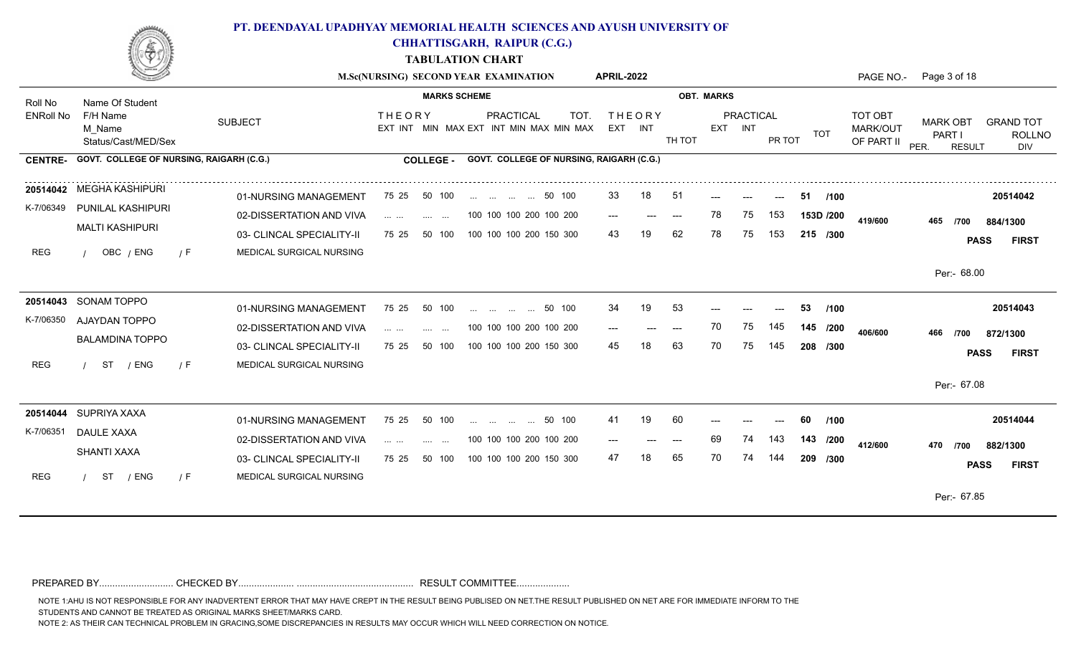

**CHHATTISGARH, RAIPUR (C.G.)**

**TABULATION CHART**

|                  |                                           |                           |                                                                                                                              | M.Sc(NURSING) SECOND YEAR EXAMINATION                              | APRIL-2022               |                   |                             |                      | PAGE NO.-                         | Page 3 of 18                                                                                   |
|------------------|-------------------------------------------|---------------------------|------------------------------------------------------------------------------------------------------------------------------|--------------------------------------------------------------------|--------------------------|-------------------|-----------------------------|----------------------|-----------------------------------|------------------------------------------------------------------------------------------------|
| Roll No          | Name Of Student                           |                           |                                                                                                                              | <b>MARKS SCHEME</b>                                                |                          | <b>OBT. MARKS</b> |                             |                      |                                   |                                                                                                |
| <b>ENRoll No</b> | F/H Name<br>M Name<br>Status/Cast/MED/Sex | <b>SUBJECT</b>            | <b>THEORY</b>                                                                                                                | PRACTICAL<br><b>TOT</b><br>EXT INT MIN MAX EXT INT MIN MAX MIN MAX | <b>THEORY</b><br>EXT INT | TH TOT            | <b>PRACTICAL</b><br>EXT INT | <b>TOT</b><br>PR TOT | TOT OBT<br>MARK/OUT<br>OF PART II | <b>MARK OBT</b><br><b>GRAND TOT</b><br>PART I<br><b>ROLLNO</b><br>PER.<br><b>RESULT</b><br>DIV |
| <b>CENTRE-</b>   | GOVT. COLLEGE OF NURSING, RAIGARH (C.G.)  |                           | <b>COLLEGE -</b>                                                                                                             | GOVT. COLLEGE OF NURSING, RAIGARH (C.G.)                           |                          |                   |                             |                      |                                   |                                                                                                |
|                  | 20514042 MEGHA KASHIPURI                  | 01-NURSING MANAGEMENT     | 75 25<br>50 100                                                                                                              | 50 100                                                             | 18<br>33                 | -51               |                             | /100<br>-51          |                                   | 20514042                                                                                       |
| K-7/06349        | PUNILAL KASHIPURI                         | 02-DISSERTATION AND VIVA  | $\mathcal{L}_{\mathcal{F}}$ and $\mathcal{L}_{\mathcal{F}}$ . The same $\mathcal{L}_{\mathcal{F}}$<br><b>Service Control</b> | 100 100 100 200 100 200                                            | $---$<br>$---$           | 78<br>$---$       | 153<br>75                   | 153D /200            | 419/600                           | 465<br>884/1300<br>/700                                                                        |
|                  | <b>MALTI KASHIPURI</b>                    | 03- CLINCAL SPECIALITY-II | 50 100<br>75 25                                                                                                              | 100 100 100 200 150 300                                            | 43                       | 62<br>78          | 75<br>153                   | 215 /300             |                                   | <b>PASS</b><br><b>FIRST</b>                                                                    |
| REG              | OBC / ENG<br>/ F                          | MEDICAL SURGICAL NURSING  |                                                                                                                              |                                                                    |                          |                   |                             |                      |                                   |                                                                                                |
|                  |                                           |                           |                                                                                                                              |                                                                    |                          |                   |                             |                      |                                   | Per:- 68.00                                                                                    |
|                  | 20514043 SONAM TOPPO                      | 01-NURSING MANAGEMENT     | 75 25<br>50 100                                                                                                              | 50 100<br>and the same state of the same                           | 19<br>34                 | 53                |                             | 53<br>/100           |                                   | 20514043                                                                                       |
| K-7/06350        | AJAYDAN TOPPO                             | 02-DISSERTATION AND VIVA  | .<br><b>Service</b><br>$\cdots$                                                                                              | 100 100 100 200 100 200                                            | $---$                    | 70<br>$---$       | 75<br>145                   | 145 /200             | 406/600                           | 466<br>/700<br>872/1300                                                                        |
|                  | <b>BALAMDINA TOPPO</b>                    | 03- CLINCAL SPECIALITY-II | 75 25<br>50 100                                                                                                              | 100 100 100 200 150 300                                            | 45                       | 63<br>70          | 75<br>145                   | 208 /300             |                                   | <b>PASS</b><br><b>FIRST</b>                                                                    |
| <b>REG</b>       | <b>ST</b><br>/ ENG<br>/ F                 | MEDICAL SURGICAL NURSING  |                                                                                                                              |                                                                    |                          |                   |                             |                      |                                   |                                                                                                |
|                  |                                           |                           |                                                                                                                              |                                                                    |                          |                   |                             |                      |                                   | Per:- 67.08                                                                                    |
|                  | 20514044 SUPRIYA XAXA                     | 01-NURSING MANAGEMENT     | 75 25<br>50 100                                                                                                              | 50 100<br>$\mathbf{r}$ . The state of $\mathbf{r}$                 | 19<br>41                 | 60                |                             | 60<br>/100           |                                   | 20514044                                                                                       |
| K-7/06351        | DAULE XAXA                                | 02-DISSERTATION AND VIVA  | and the con-<br>$\ldots$ .<br>$\sim 100$                                                                                     | 100 100 100 200 100 200                                            | ---                      | 69<br>$---$       | 74<br>143                   | 143 /200             | 412/600                           | 470<br>882/1300<br>/700                                                                        |
|                  | SHANTI XAXA                               | 03- CLINCAL SPECIALITY-II | 50 100<br>75 25                                                                                                              | 100 100 100 200 150 300                                            | 47                       | 65                | 74<br>144                   | 209 /300             |                                   | <b>PASS</b><br><b>FIRST</b>                                                                    |
| REG              | ST<br>/ ENG<br>/ F                        | MEDICAL SURGICAL NURSING  |                                                                                                                              |                                                                    |                          |                   |                             |                      |                                   |                                                                                                |
|                  |                                           |                           |                                                                                                                              |                                                                    |                          |                   |                             |                      |                                   | Per:- 67.85                                                                                    |
|                  |                                           |                           |                                                                                                                              |                                                                    |                          |                   |                             |                      |                                   |                                                                                                |

PREPARED BY............................ CHECKED BY..................... ............................................ RESULT COMMITTEE....................

NOTE 1:AHU IS NOT RESPONSIBLE FOR ANY INADVERTENT ERROR THAT MAY HAVE CREPT IN THE RESULT BEING PUBLISED ON NET.THE RESULT PUBLISHED ON NET ARE FOR IMMEDIATE INFORM TO THE

STUDENTS AND CANNOT BE TREATED AS ORIGINAL MARKS SHEET/MARKS CARD.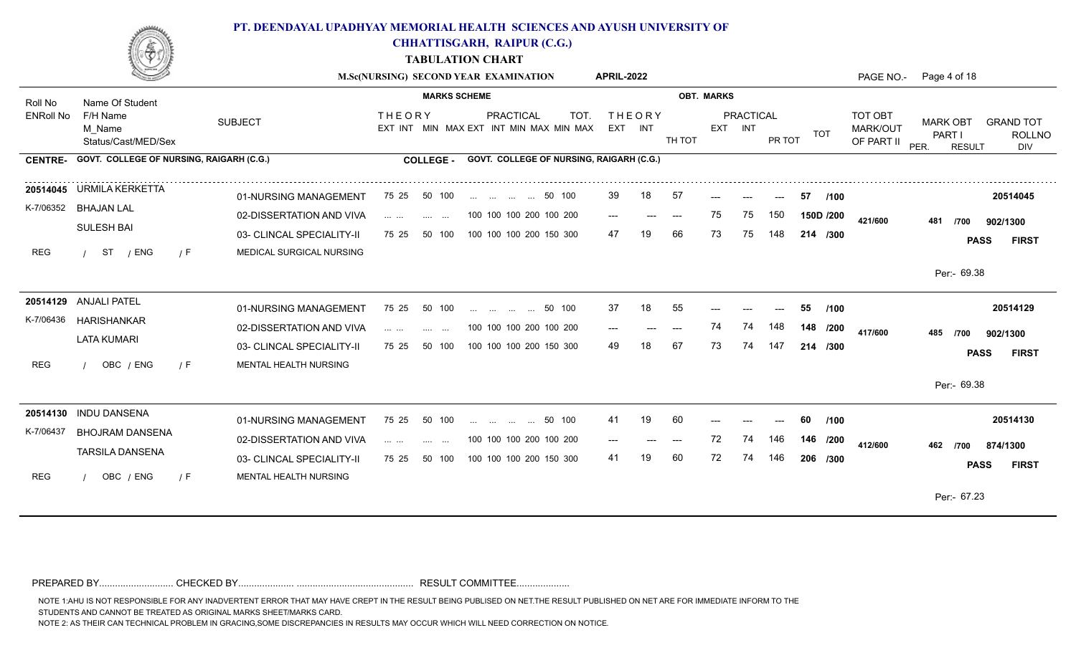

**CHHATTISGARH, RAIPUR (C.G.)**

**TABULATION CHART**

|                |                                           |                           |                                                                                                                                                               | M.Sc(NURSING) SECOND YEAR EXAMINATION                               | <b>APRIL-2022</b>        |                   |                                       |            |                                          | PAGE NO.- Page 4 of 18                                                                         |
|----------------|-------------------------------------------|---------------------------|---------------------------------------------------------------------------------------------------------------------------------------------------------------|---------------------------------------------------------------------|--------------------------|-------------------|---------------------------------------|------------|------------------------------------------|------------------------------------------------------------------------------------------------|
| Roll No        | Name Of Student                           |                           | <b>MARKS SCHEME</b>                                                                                                                                           |                                                                     |                          | <b>OBT. MARKS</b> |                                       |            |                                          |                                                                                                |
| ENRoll No      | F/H Name<br>M Name<br>Status/Cast/MED/Sex | <b>SUBJECT</b>            | <b>THEORY</b>                                                                                                                                                 | <b>PRACTICAL</b><br>TOT.<br>EXT INT MIN MAX EXT INT MIN MAX MIN MAX | <b>THEORY</b><br>EXT INT | TH TOT            | <b>PRACTICAL</b><br>EXT INT<br>PR TOT | TOT        | TOT OBT<br><b>MARK/OUT</b><br>OF PART II | <b>MARK OBT</b><br><b>GRAND TOT</b><br>PART I<br><b>ROLLNO</b><br>PER.<br><b>RESULT</b><br>DIV |
| <b>CENTRE-</b> | GOVT. COLLEGE OF NURSING, RAIGARH (C.G.)  |                           | <b>COLLEGE -</b>                                                                                                                                              | GOVT. COLLEGE OF NURSING, RAIGARH (C.G.)                            |                          |                   |                                       |            |                                          |                                                                                                |
|                | 20514045 URMILA KERKETTA                  | 01-NURSING MANAGEMENT     | 75 25<br>50 100                                                                                                                                               | 50 100                                                              | 39<br>18                 | -57               |                                       | /100<br>57 |                                          | 20514045                                                                                       |
|                | K-7/06352 BHAJAN LAL                      | 02-DISSERTATION AND VIVA  | $\mathbf{1} \cdot \mathbf{1} \cdot \mathbf{1} \cdot \mathbf{1} \cdot \mathbf{1} \cdot \mathbf{1} \cdot \mathbf{1}$<br><b>Contract Contract</b>                | 100 100 100 200 100 200                                             | $---$<br>$---$           | 75<br>$---$       | 75<br>150                             | 150D /200  | 421/600                                  | 481<br>902/1300<br>/700                                                                        |
|                | <b>SULESH BAI</b>                         | 03- CLINCAL SPECIALITY-II | 75 25<br>50 100                                                                                                                                               | 100 100 100 200 150 300                                             | 47<br>19                 | 66<br>73          | 75<br>148                             | 214 /300   |                                          | <b>PASS</b><br><b>FIRST</b>                                                                    |
| <b>REG</b>     | ST<br>/ ENG<br>7 F                        | MEDICAL SURGICAL NURSING  |                                                                                                                                                               |                                                                     |                          |                   |                                       |            |                                          |                                                                                                |
|                |                                           |                           |                                                                                                                                                               |                                                                     |                          |                   |                                       |            |                                          | Per:- 69.38                                                                                    |
|                | 20514129 ANJALI PATEL                     | 01-NURSING MANAGEMENT     | 75 25<br>50 100                                                                                                                                               | 50 100<br>$\mathbf{r}$ . The same state $\mathbf{r}$                | 37<br>18                 | 55                |                                       | 55<br>/100 |                                          | 20514129                                                                                       |
|                | K-7/06436 HARISHANKAR                     | 02-DISSERTATION AND VIVA  | $\cdots$ $\cdots$<br>$\mathbf{L}$ and $\mathbf{L}$ and $\mathbf{L}$                                                                                           | 100 100 100 200 100 200                                             |                          | 74<br>$---$       | 148<br>74                             | 148 /200   | 417/600                                  | 485<br>902/1300<br>/700                                                                        |
|                | <b>LATA KUMARI</b>                        | 03- CLINCAL SPECIALITY-II | 50 100<br>75 25                                                                                                                                               | 100 100 100 200 150 300                                             | 49                       | 67<br>73          | 74<br>147                             | 214 /300   |                                          | <b>PASS</b><br><b>FIRST</b>                                                                    |
| <b>REG</b>     | OBC / ENG<br>/ F                          | MENTAL HEALTH NURSING     |                                                                                                                                                               |                                                                     |                          |                   |                                       |            |                                          |                                                                                                |
|                |                                           |                           |                                                                                                                                                               |                                                                     |                          |                   |                                       |            |                                          | Per:- 69.38                                                                                    |
|                | 20514130 INDU DANSENA                     | 01-NURSING MANAGEMENT     | 50 100<br>75 25                                                                                                                                               | 50 100                                                              | 19<br>41                 | 60                |                                       | 60<br>/100 |                                          | 20514130                                                                                       |
| K-7/06437      | <b>BHOJRAM DANSENA</b>                    | 02-DISSERTATION AND VIVA  | $\mathbf{1} \cdot \mathbf{1} \cdot \mathbf{1} \cdot \mathbf{1} \cdot \mathbf{1} \cdot \mathbf{1} \cdot \mathbf{1}$<br><b>Contract</b><br>$\sim$ $\sim$ $\sim$ | 100 100 100 200 100 200                                             | $---$                    | 72<br>$---$       | 74<br>146                             | 146 /200   | 412/600                                  | 462<br>874/1300<br>/700                                                                        |
|                | <b>TARSILA DANSENA</b>                    | 03- CLINCAL SPECIALITY-II | 75 25<br>50 100                                                                                                                                               | 100 100 100 200 150 300                                             | 41                       | 60<br>72          | 74<br>146                             | 206 /300   |                                          | <b>FIRST</b><br><b>PASS</b>                                                                    |
| <b>REG</b>     | OBC / ENG<br>/ F                          | MENTAL HEALTH NURSING     |                                                                                                                                                               |                                                                     |                          |                   |                                       |            |                                          |                                                                                                |
|                |                                           |                           |                                                                                                                                                               |                                                                     |                          |                   |                                       |            |                                          | Per:- 67.23                                                                                    |

PREPARED BY............................ CHECKED BY..................... ............................................ RESULT COMMITTEE....................

NOTE 1:AHU IS NOT RESPONSIBLE FOR ANY INADVERTENT ERROR THAT MAY HAVE CREPT IN THE RESULT BEING PUBLISED ON NET.THE RESULT PUBLISHED ON NET ARE FOR IMMEDIATE INFORM TO THE

STUDENTS AND CANNOT BE TREATED AS ORIGINAL MARKS SHEET/MARKS CARD.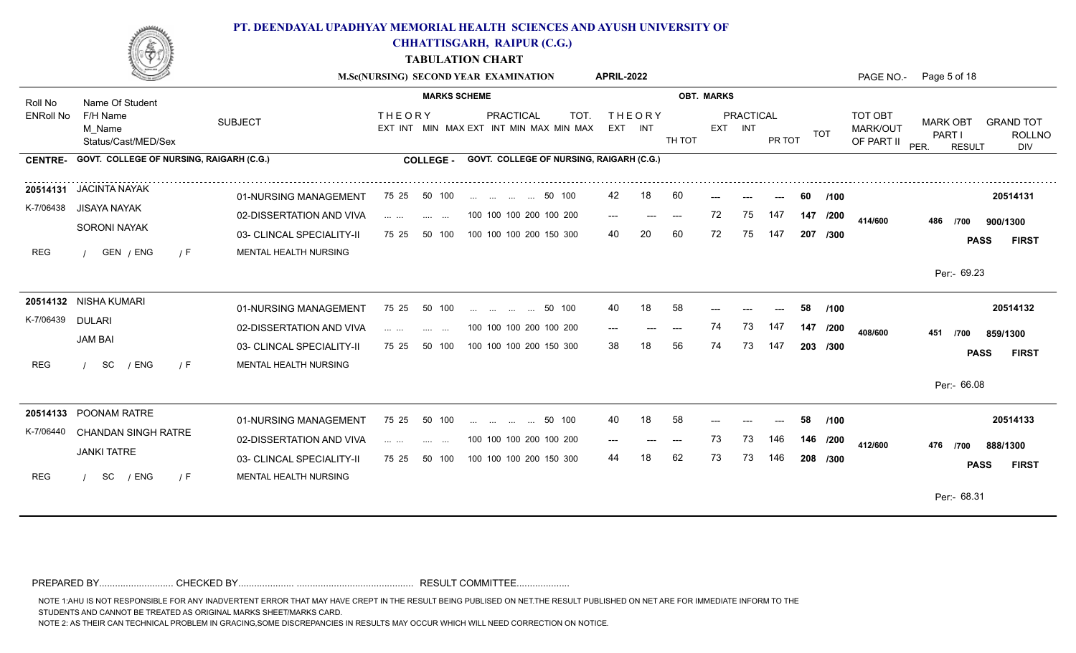

**CHHATTISGARH, RAIPUR (C.G.)**

**TABULATION CHART**

|                  |                                           |                           | M.Sc(NURSING) SECOND YEAR EXAMINATION                                                                              |                            |                         |                          |                                                 | <b>APRIL-2022</b> |                   |        |                   |                             |        |          |      | PAGE NO.- Page 5 of 18                   |                                   |               |                                          |
|------------------|-------------------------------------------|---------------------------|--------------------------------------------------------------------------------------------------------------------|----------------------------|-------------------------|--------------------------|-------------------------------------------------|-------------------|-------------------|--------|-------------------|-----------------------------|--------|----------|------|------------------------------------------|-----------------------------------|---------------|------------------------------------------|
| Roll No          | Name Of Student                           |                           |                                                                                                                    | <b>MARKS SCHEME</b>        |                         |                          |                                                 |                   |                   |        | <b>OBT. MARKS</b> |                             |        |          |      |                                          |                                   |               |                                          |
| <b>ENRoll No</b> | F/H Name<br>M Name<br>Status/Cast/MED/Sex | <b>SUBJECT</b>            | <b>THEORY</b>                                                                                                      |                            |                         | <b>PRACTICAL</b>         | TOT.<br>EXT INT MIN MAX EXT INT MIN MAX MIN MAX |                   | THEORY<br>EXT INT | TH TOT |                   | <b>PRACTICAL</b><br>EXT INT | PR TOT | TOT      |      | <b>TOT OBT</b><br>MARK/OUT<br>OF PART II | <b>MARK OBT</b><br>PART I<br>PER. | <b>RESULT</b> | <b>GRAND TOT</b><br><b>ROLLNO</b><br>DIV |
| <b>CENTRE-</b>   | GOVT. COLLEGE OF NURSING, RAIGARH (C.G.)  |                           |                                                                                                                    | <b>COLLEGE -</b>           |                         |                          | GOVT. COLLEGE OF NURSING, RAIGARH (C.G.)        |                   |                   |        |                   |                             |        |          |      |                                          |                                   |               |                                          |
|                  | 20514131 JACINTA NAYAK                    | 01-NURSING MANAGEMENT     | 75 25                                                                                                              | 50 100                     |                         | 50 100                   |                                                 | 42                | 18                | 60     |                   |                             |        | 60.      | /100 |                                          |                                   |               | 20514131                                 |
| K-7/06438        | <b>JISAYA NAYAK</b>                       | 02-DISSERTATION AND VIVA  | $\mathcal{L}(\mathcal{L})$ . The same                                                                              | <b>Contract Contract</b>   |                         | 100 100 100 200 100 200  |                                                 | $---$             | $---$             | $---$  | 72                | 75                          | 147    | 147 /200 |      | 414/600                                  | 486                               | /700          | 900/1300                                 |
|                  | <b>SORONI NAYAK</b>                       | 03- CLINCAL SPECIALITY-II | 75 25                                                                                                              | 50 100                     |                         | 100 100 100 200 150 300  |                                                 | 40                | 20                | 60     | 72                | 75                          | 147    | 207 /300 |      |                                          |                                   | <b>PASS</b>   | <b>FIRST</b>                             |
| REG              | GEN / ENG<br>$\sqrt{F}$                   | MENTAL HEALTH NURSING     |                                                                                                                    |                            |                         |                          |                                                 |                   |                   |        |                   |                             |        |          |      |                                          |                                   |               |                                          |
|                  |                                           |                           |                                                                                                                    |                            |                         |                          |                                                 |                   |                   |        |                   |                             |        |          |      |                                          | Per:- 69.23                       |               |                                          |
|                  | 20514132 NISHA KUMARI                     | 01-NURSING MANAGEMENT     | 75 25                                                                                                              | 50 100                     | and the same            | <b>Contract Contract</b> | 50 100                                          | 40                | 18                | 58     |                   |                             |        | 58       | /100 |                                          |                                   |               | 20514132                                 |
| K-7/06439        | <b>DULARI</b>                             | 02-DISSERTATION AND VIVA  | $\mathbf{1} \cdot \mathbf{1} \cdot \mathbf{1} \cdot \mathbf{1} \cdot \mathbf{1} \cdot \mathbf{1} \cdot \mathbf{1}$ | <b>Service</b>             |                         | 100 100 100 200 100 200  |                                                 | $---$             | $---$             | $---$  | 74                | 73                          | 147    | 147      | /200 | 408/600                                  | 451<br>/700                       |               | 859/1300                                 |
|                  | <b>JAM BAI</b>                            | 03- CLINCAL SPECIALITY-II | 75 25                                                                                                              | 50 100                     | 100 100 100 200 150 300 |                          |                                                 | 38                |                   | 56     | 74                | 73                          | 147    | 203 /300 |      |                                          |                                   | <b>PASS</b>   | <b>FIRST</b>                             |
| <b>REG</b>       | SC<br>/ ENG<br>/ F                        | MENTAL HEALTH NURSING     |                                                                                                                    |                            |                         |                          |                                                 |                   |                   |        |                   |                             |        |          |      |                                          |                                   |               |                                          |
|                  |                                           |                           |                                                                                                                    |                            |                         |                          |                                                 |                   |                   |        |                   |                             |        |          |      |                                          | Per:- 66.08                       |               |                                          |
|                  | 20514133 POONAM RATRE                     | 01-NURSING MANAGEMENT     | 75 25                                                                                                              | 50 100                     |                         | 50 100                   |                                                 | 40                | 18                | 58     |                   |                             |        | 58       | 1100 |                                          |                                   |               | 20514133                                 |
| K-7/06440        | <b>CHANDAN SINGH RATRE</b>                | 02-DISSERTATION AND VIVA  | and the con-                                                                                                       | <b>Service</b><br>$\cdots$ |                         | 100 100 100 200 100 200  |                                                 | $---$             |                   | $---$  | 73                | 73                          | 146    | 146 /200 |      | 412/600                                  | 476<br>/700                       |               | 888/1300                                 |
|                  | <b>JANKI TATRE</b>                        | 03- CLINCAL SPECIALITY-II | 75 25                                                                                                              | 50 100                     |                         | 100 100 100 200 150 300  |                                                 | 44                |                   | 62     | 73                | 73                          | 146    | 208 /300 |      |                                          |                                   | <b>PASS</b>   | <b>FIRST</b>                             |
| REG              | SC<br>/ ENG<br>/ F                        | MENTAL HEALTH NURSING     |                                                                                                                    |                            |                         |                          |                                                 |                   |                   |        |                   |                             |        |          |      |                                          |                                   |               |                                          |
|                  |                                           |                           |                                                                                                                    |                            |                         |                          |                                                 |                   |                   |        |                   |                             |        |          |      |                                          | Per:- 68.31                       |               |                                          |
|                  |                                           |                           |                                                                                                                    |                            |                         |                          |                                                 |                   |                   |        |                   |                             |        |          |      |                                          |                                   |               |                                          |

PREPARED BY............................ CHECKED BY..................... ............................................ RESULT COMMITTEE....................

NOTE 1:AHU IS NOT RESPONSIBLE FOR ANY INADVERTENT ERROR THAT MAY HAVE CREPT IN THE RESULT BEING PUBLISED ON NET.THE RESULT PUBLISHED ON NET ARE FOR IMMEDIATE INFORM TO THE

STUDENTS AND CANNOT BE TREATED AS ORIGINAL MARKS SHEET/MARKS CARD.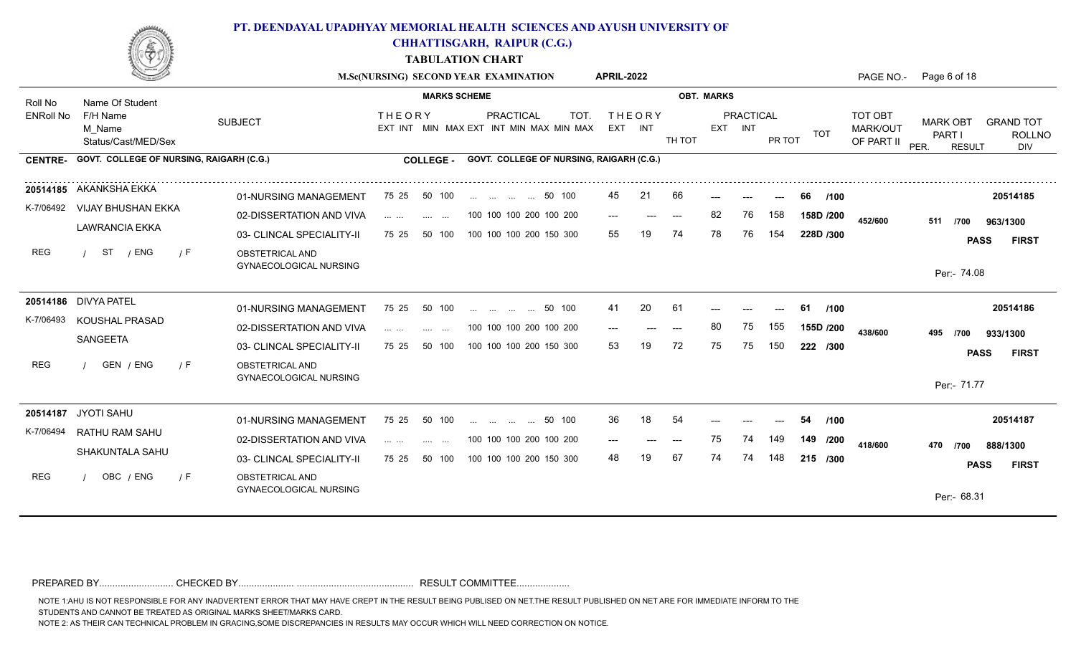

**CHHATTISGARH, RAIPUR (C.G.)**

**TABULATION CHART**

| <b>MARKS SCHEME</b><br><b>OBT. MARKS</b><br>Name Of Student<br><b>THEORY</b><br>TOT OBT<br>F/H Name<br><b>PRACTICAL</b><br><b>TOT</b><br><b>THEORY</b><br>PRACTICAL<br><b>SUBJECT</b><br><b>MARK OBT</b><br>EXT INT MIN MAX EXT INT MIN MAX MIN MAX<br>EXT INT<br>MARK/OUT<br>M Name<br>EXT INT<br>PART I<br>TOT<br>TH TOT<br>OF PART II<br>Status/Cast/MED/Sex<br>PR TOT<br>PER.<br><b>RESULT</b><br>DIV<br>GOVT. COLLEGE OF NURSING, RAIGARH (C.G.)<br>GOVT. COLLEGE OF NURSING, RAIGARH (C.G.)<br><b>COLLEGE -</b><br>50 100<br>75 25<br>45<br>21<br>66<br>01-NURSING MANAGEMENT<br>50 100<br>20514185<br>66<br>/100<br>K-7/06492 VIJAY BHUSHAN EKKA<br>82<br>76<br>158<br>02-DISSERTATION AND VIVA<br>100 100 100 200 100 200<br>158D /200<br>$---$<br>$---$<br>$\cdots$<br>$\qquad \qquad -\qquad -$<br><b>Contract Contract</b><br>452/600<br>511<br>/700<br>963/1300<br><b>LAWRANCIA EKKA</b><br>74<br>03- CLINCAL SPECIALITY-II<br>75 25<br>50 100<br>100 100 100 200 150 300<br>55<br>19<br>78<br>76<br>154<br>228D /300<br><b>FIRST</b><br><b>PASS</b><br>ST<br>/ ENG<br>/ F<br>OBSTETRICAL AND<br><b>GYNAECOLOGICAL NURSING</b><br>Per:- 74.08<br>20<br>75 25<br>50 100<br>61<br>01-NURSING MANAGEMENT<br>41<br>/100<br>20514186<br>50 100<br>61<br>80<br>75<br>155<br>02-DISSERTATION AND VIVA<br>100 100 100 200 100 200<br>155D /200<br>$---$<br>$\mathbf{r}$ . The set of $\mathbf{r}$<br>$\sim 100$<br>$\cdots$<br>438/600<br>495<br>933/1300<br>/700<br>72<br>150<br>50 100<br>100 100 100 200 150 300<br>53<br>75<br>75<br>222 /300<br>03- CLINCAL SPECIALITY-II<br>75 25<br><b>FIRST</b><br><b>PASS</b><br>GEN / ENG<br>/ F<br>OBSTETRICAL AND<br>GYNAECOLOGICAL NURSING<br>Per:- 71.77<br>36<br>18<br>54<br>50 100<br>01-NURSING MANAGEMENT<br>75 25<br>20514187<br>50 100<br>54<br>/100<br>02-DISSERTATION AND VIVA<br>100 100 100 200 100 200<br>74<br>149<br>75<br>149 /200<br>$\mathbf{r}$ . The set of $\mathbf{r}$<br>and the same<br>---<br>$---$<br>418/600<br>470<br>/700<br>888/1300<br>50 100<br>67<br>74<br>03- CLINCAL SPECIALITY-II<br>75 25<br>100 100 100 200 150 300<br>48<br>148<br>215 /300<br>74<br><b>FIRST</b><br><b>PASS</b><br>OBC / ENG<br>OBSTETRICAL AND<br>/ F<br>GYNAECOLOGICAL NURSING<br>Per:- 68.31 |                  |                        |  | M.Sc(NURSING) SECOND YEAR EXAMINATION | <b>APRIL-2022</b> |  |  | PAGE NO.- Page 6 of 18            |
|---------------------------------------------------------------------------------------------------------------------------------------------------------------------------------------------------------------------------------------------------------------------------------------------------------------------------------------------------------------------------------------------------------------------------------------------------------------------------------------------------------------------------------------------------------------------------------------------------------------------------------------------------------------------------------------------------------------------------------------------------------------------------------------------------------------------------------------------------------------------------------------------------------------------------------------------------------------------------------------------------------------------------------------------------------------------------------------------------------------------------------------------------------------------------------------------------------------------------------------------------------------------------------------------------------------------------------------------------------------------------------------------------------------------------------------------------------------------------------------------------------------------------------------------------------------------------------------------------------------------------------------------------------------------------------------------------------------------------------------------------------------------------------------------------------------------------------------------------------------------------------------------------------------------------------------------------------------------------------------------------------------------------------------------------------------------------------------------------------------------------------------------------------------------------------------------------------------------------------------------------------|------------------|------------------------|--|---------------------------------------|-------------------|--|--|-----------------------------------|
|                                                                                                                                                                                                                                                                                                                                                                                                                                                                                                                                                                                                                                                                                                                                                                                                                                                                                                                                                                                                                                                                                                                                                                                                                                                                                                                                                                                                                                                                                                                                                                                                                                                                                                                                                                                                                                                                                                                                                                                                                                                                                                                                                                                                                                                         | Roll No          |                        |  |                                       |                   |  |  |                                   |
|                                                                                                                                                                                                                                                                                                                                                                                                                                                                                                                                                                                                                                                                                                                                                                                                                                                                                                                                                                                                                                                                                                                                                                                                                                                                                                                                                                                                                                                                                                                                                                                                                                                                                                                                                                                                                                                                                                                                                                                                                                                                                                                                                                                                                                                         | <b>ENRoll No</b> |                        |  |                                       |                   |  |  | <b>GRAND TOT</b><br><b>ROLLNO</b> |
|                                                                                                                                                                                                                                                                                                                                                                                                                                                                                                                                                                                                                                                                                                                                                                                                                                                                                                                                                                                                                                                                                                                                                                                                                                                                                                                                                                                                                                                                                                                                                                                                                                                                                                                                                                                                                                                                                                                                                                                                                                                                                                                                                                                                                                                         | <b>CENTRE-</b>   |                        |  |                                       |                   |  |  |                                   |
|                                                                                                                                                                                                                                                                                                                                                                                                                                                                                                                                                                                                                                                                                                                                                                                                                                                                                                                                                                                                                                                                                                                                                                                                                                                                                                                                                                                                                                                                                                                                                                                                                                                                                                                                                                                                                                                                                                                                                                                                                                                                                                                                                                                                                                                         |                  | 20514185 AKANKSHA EKKA |  |                                       |                   |  |  |                                   |
|                                                                                                                                                                                                                                                                                                                                                                                                                                                                                                                                                                                                                                                                                                                                                                                                                                                                                                                                                                                                                                                                                                                                                                                                                                                                                                                                                                                                                                                                                                                                                                                                                                                                                                                                                                                                                                                                                                                                                                                                                                                                                                                                                                                                                                                         |                  |                        |  |                                       |                   |  |  |                                   |
|                                                                                                                                                                                                                                                                                                                                                                                                                                                                                                                                                                                                                                                                                                                                                                                                                                                                                                                                                                                                                                                                                                                                                                                                                                                                                                                                                                                                                                                                                                                                                                                                                                                                                                                                                                                                                                                                                                                                                                                                                                                                                                                                                                                                                                                         |                  |                        |  |                                       |                   |  |  |                                   |
|                                                                                                                                                                                                                                                                                                                                                                                                                                                                                                                                                                                                                                                                                                                                                                                                                                                                                                                                                                                                                                                                                                                                                                                                                                                                                                                                                                                                                                                                                                                                                                                                                                                                                                                                                                                                                                                                                                                                                                                                                                                                                                                                                                                                                                                         | <b>REG</b>       |                        |  |                                       |                   |  |  |                                   |
|                                                                                                                                                                                                                                                                                                                                                                                                                                                                                                                                                                                                                                                                                                                                                                                                                                                                                                                                                                                                                                                                                                                                                                                                                                                                                                                                                                                                                                                                                                                                                                                                                                                                                                                                                                                                                                                                                                                                                                                                                                                                                                                                                                                                                                                         |                  | 20514186 DIVYA PATEL   |  |                                       |                   |  |  |                                   |
|                                                                                                                                                                                                                                                                                                                                                                                                                                                                                                                                                                                                                                                                                                                                                                                                                                                                                                                                                                                                                                                                                                                                                                                                                                                                                                                                                                                                                                                                                                                                                                                                                                                                                                                                                                                                                                                                                                                                                                                                                                                                                                                                                                                                                                                         | K-7/06493        | KOUSHAL PRASAD         |  |                                       |                   |  |  |                                   |
|                                                                                                                                                                                                                                                                                                                                                                                                                                                                                                                                                                                                                                                                                                                                                                                                                                                                                                                                                                                                                                                                                                                                                                                                                                                                                                                                                                                                                                                                                                                                                                                                                                                                                                                                                                                                                                                                                                                                                                                                                                                                                                                                                                                                                                                         |                  | SANGEETA               |  |                                       |                   |  |  |                                   |
|                                                                                                                                                                                                                                                                                                                                                                                                                                                                                                                                                                                                                                                                                                                                                                                                                                                                                                                                                                                                                                                                                                                                                                                                                                                                                                                                                                                                                                                                                                                                                                                                                                                                                                                                                                                                                                                                                                                                                                                                                                                                                                                                                                                                                                                         | <b>REG</b>       |                        |  |                                       |                   |  |  |                                   |
|                                                                                                                                                                                                                                                                                                                                                                                                                                                                                                                                                                                                                                                                                                                                                                                                                                                                                                                                                                                                                                                                                                                                                                                                                                                                                                                                                                                                                                                                                                                                                                                                                                                                                                                                                                                                                                                                                                                                                                                                                                                                                                                                                                                                                                                         |                  | 20514187 JYOTI SAHU    |  |                                       |                   |  |  |                                   |
|                                                                                                                                                                                                                                                                                                                                                                                                                                                                                                                                                                                                                                                                                                                                                                                                                                                                                                                                                                                                                                                                                                                                                                                                                                                                                                                                                                                                                                                                                                                                                                                                                                                                                                                                                                                                                                                                                                                                                                                                                                                                                                                                                                                                                                                         | K-7/06494        | RATHU RAM SAHU         |  |                                       |                   |  |  |                                   |
|                                                                                                                                                                                                                                                                                                                                                                                                                                                                                                                                                                                                                                                                                                                                                                                                                                                                                                                                                                                                                                                                                                                                                                                                                                                                                                                                                                                                                                                                                                                                                                                                                                                                                                                                                                                                                                                                                                                                                                                                                                                                                                                                                                                                                                                         |                  | SHAKUNTALA SAHU        |  |                                       |                   |  |  |                                   |
|                                                                                                                                                                                                                                                                                                                                                                                                                                                                                                                                                                                                                                                                                                                                                                                                                                                                                                                                                                                                                                                                                                                                                                                                                                                                                                                                                                                                                                                                                                                                                                                                                                                                                                                                                                                                                                                                                                                                                                                                                                                                                                                                                                                                                                                         | REG              |                        |  |                                       |                   |  |  |                                   |

PREPARED BY............................ CHECKED BY..................... ............................................ RESULT COMMITTEE....................

NOTE 1:AHU IS NOT RESPONSIBLE FOR ANY INADVERTENT ERROR THAT MAY HAVE CREPT IN THE RESULT BEING PUBLISED ON NET.THE RESULT PUBLISHED ON NET ARE FOR IMMEDIATE INFORM TO THE

STUDENTS AND CANNOT BE TREATED AS ORIGINAL MARKS SHEET/MARKS CARD.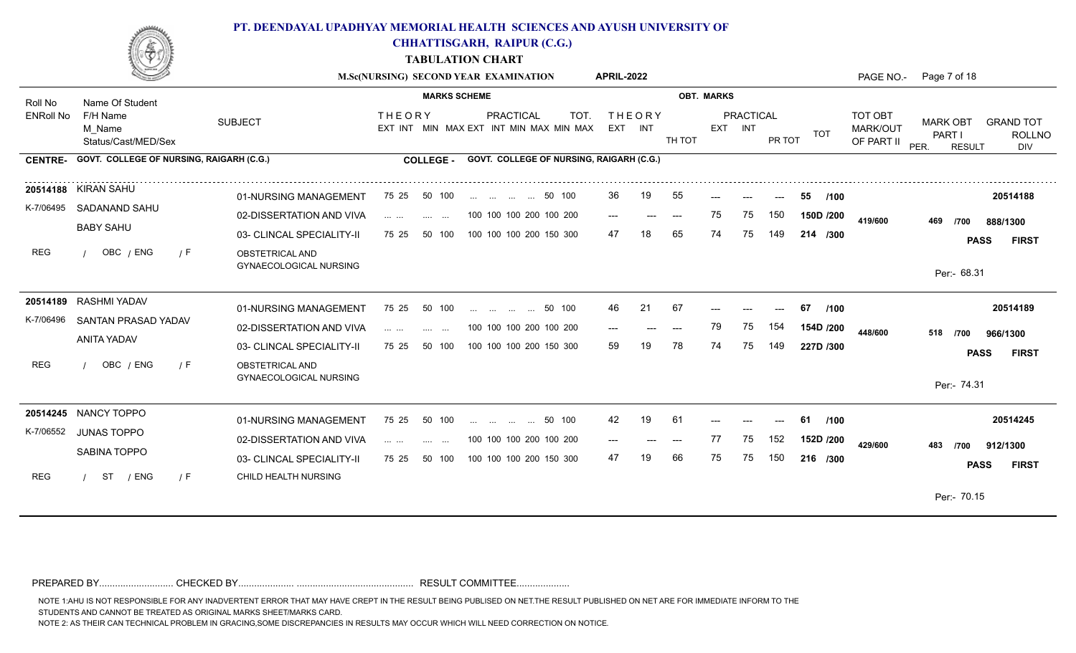

**CHHATTISGARH, RAIPUR (C.G.)**

**TABULATION CHART**

|                  |                                                 |                                                  |                                                                                                                         | M.Sc(NURSING) SECOND YEAR EXAMINATION                               | <b>APRIL-2022</b>            |                   |                                       |                                          | PAGE NO.- Page 7 of 18                                                                         |
|------------------|-------------------------------------------------|--------------------------------------------------|-------------------------------------------------------------------------------------------------------------------------|---------------------------------------------------------------------|------------------------------|-------------------|---------------------------------------|------------------------------------------|------------------------------------------------------------------------------------------------|
| Roll No          | Name Of Student                                 |                                                  | <b>MARKS SCHEME</b>                                                                                                     |                                                                     |                              | <b>OBT. MARKS</b> |                                       |                                          |                                                                                                |
| <b>ENRoll No</b> | F/H Name<br>M Name<br>Status/Cast/MED/Sex       | <b>SUBJECT</b>                                   | <b>THEORY</b>                                                                                                           | <b>PRACTICAL</b><br>TOT.<br>EXT INT MIN MAX EXT INT MIN MAX MIN MAX | <b>THEORY</b><br>EXT INT     | TH TOT            | <b>PRACTICAL</b><br>EXT INT<br>PR TOT | TOT OBT<br>MARK/OUT<br>TOT<br>OF PART II | <b>MARK OBT</b><br><b>GRAND TOT</b><br>PART I<br><b>ROLLNO</b><br>PER.<br>DIV<br><b>RESULT</b> |
| <b>CENTRE-</b>   | <b>GOVT. COLLEGE OF NURSING, RAIGARH (C.G.)</b> |                                                  | <b>COLLEGE -</b>                                                                                                        | GOVT. COLLEGE OF NURSING, RAIGARH (C.G.)                            |                              |                   |                                       |                                          |                                                                                                |
|                  | 20514188 KIRAN SAHU                             | 01-NURSING MANAGEMENT                            | 50 100<br>75 25                                                                                                         | 50 100                                                              | 36<br>19                     | 55                |                                       | /100<br>55                               | 20514188                                                                                       |
| K-7/06495        | SADANAND SAHU                                   | 02-DISSERTATION AND VIVA                         | $\mathcal{L}_{\mathcal{A}}$ and $\mathcal{L}_{\mathcal{A}}$ and $\mathcal{L}_{\mathcal{A}}$<br><b>Contract Contract</b> | 100 100 100 200 100 200                                             | $---$<br>$\qquad \qquad - -$ | 75<br>$---$       | 75<br>150                             | 150D /200<br>419/600                     | 469<br>/700<br>888/1300                                                                        |
|                  | <b>BABY SAHU</b>                                | 03- CLINCAL SPECIALITY-II                        | 75 25<br>50 100                                                                                                         | 100 100 100 200 150 300                                             | 47                           | 65<br>74          | 75<br>149                             | 214 /300                                 | <b>FIRST</b><br><b>PASS</b>                                                                    |
| REG              | OBC / ENG<br>/ F                                | OBSTETRICAL AND<br>GYNAECOLOGICAL NURSING        |                                                                                                                         |                                                                     |                              |                   |                                       |                                          | Per:- 68.31                                                                                    |
|                  | 20514189 RASHMI YADAV                           | 01-NURSING MANAGEMENT                            | 75 25<br>50 100                                                                                                         | 50 100<br>and the same of the same                                  | 21<br>46                     | 67                |                                       | 67<br>/100                               | 20514189                                                                                       |
| K-7/06496        | SANTAN PRASAD YADAV                             | 02-DISSERTATION AND VIVA                         | $\mathbf{1}$ and $\mathbf{1}$ and $\mathbf{1}$<br><b>Service Control</b>                                                | 100 100 100 200 100 200                                             | $---$                        | 79<br>$---$       | 75<br>154                             | 154D /200<br>448/600                     | 518<br>/700<br>966/1300                                                                        |
|                  | <b>ANITA YADAV</b>                              | 03- CLINCAL SPECIALITY-II                        | 50 100<br>75 25                                                                                                         | 100 100 100 200 150 300                                             | 59                           | 78<br>74          | 75<br>149                             | 227D /300                                | <b>PASS</b><br><b>FIRST</b>                                                                    |
| <b>REG</b>       | OBC / ENG<br>/ F                                | OBSTETRICAL AND<br><b>GYNAECOLOGICAL NURSING</b> |                                                                                                                         |                                                                     |                              |                   |                                       |                                          | Per:- 74.31                                                                                    |
|                  | 20514245 NANCY TOPPO                            | 01-NURSING MANAGEMENT                            | 50 100<br>75 25                                                                                                         | 50 100                                                              | 19<br>42                     | -61               | $---$                                 | /100<br>61                               | 20514245                                                                                       |
| K-7/06552        | <b>JUNAS TOPPO</b>                              | 02-DISSERTATION AND VIVA                         | $\mathcal{L}(\mathcal{L}(\mathcal{L}))$ . The $\mathcal{L}(\mathcal{L}(\mathcal{L}))$<br><b>Service Control</b>         | 100 100 100 200 100 200                                             | $---$                        | -77<br>$-$        | 75<br>152                             | 152D /200<br>429/600                     | 483<br>912/1300<br>/700                                                                        |
|                  | SABINA TOPPO                                    | 03- CLINCAL SPECIALITY-II                        | 75 25<br>50 100                                                                                                         | 100 100 100 200 150 300                                             | 47                           | 75<br>66          | 150<br>75                             | 216 /300                                 | <b>PASS</b><br><b>FIRST</b>                                                                    |
| REG              | / ENG<br>ST<br>/ F                              | CHILD HEALTH NURSING                             |                                                                                                                         |                                                                     |                              |                   |                                       |                                          |                                                                                                |
|                  |                                                 |                                                  |                                                                                                                         |                                                                     |                              |                   |                                       |                                          | Per:- 70.15                                                                                    |

PREPARED BY............................ CHECKED BY..................... ............................................ RESULT COMMITTEE....................

NOTE 1:AHU IS NOT RESPONSIBLE FOR ANY INADVERTENT ERROR THAT MAY HAVE CREPT IN THE RESULT BEING PUBLISED ON NET.THE RESULT PUBLISHED ON NET ARE FOR IMMEDIATE INFORM TO THE

STUDENTS AND CANNOT BE TREATED AS ORIGINAL MARKS SHEET/MARKS CARD.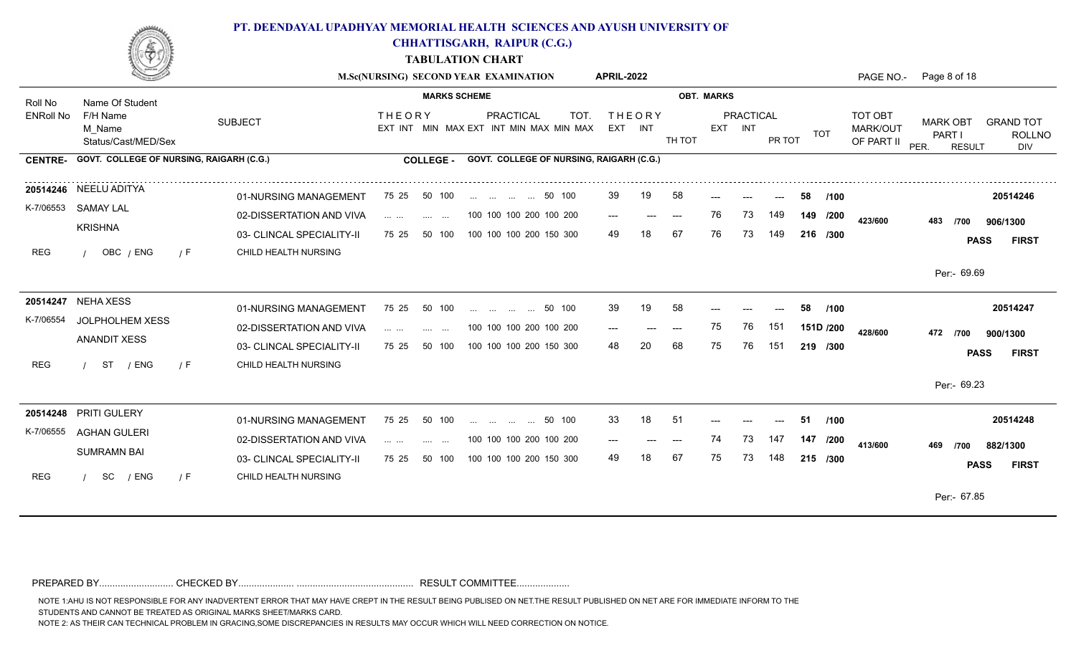

**CHHATTISGARH, RAIPUR (C.G.)**

**TABULATION CHART**

|                |                                           |                           |                                                                                                                                   | M.Sc(NURSING) SECOND YEAR EXAMINATION                               | <b>APRIL-2022</b>         |                |                   |                  |                  |                                                 | PAGE NO.- Page 8 of 18                                                                         |
|----------------|-------------------------------------------|---------------------------|-----------------------------------------------------------------------------------------------------------------------------------|---------------------------------------------------------------------|---------------------------|----------------|-------------------|------------------|------------------|-------------------------------------------------|------------------------------------------------------------------------------------------------|
| Roll No        | Name Of Student                           |                           | <b>MARKS SCHEME</b>                                                                                                               |                                                                     |                           |                | <b>OBT. MARKS</b> |                  |                  |                                                 |                                                                                                |
| ENRoll No      | F/H Name<br>M Name<br>Status/Cast/MED/Sex | <b>SUBJECT</b>            | <b>THEORY</b>                                                                                                                     | <b>PRACTICAL</b><br>TOT.<br>EXT INT MIN MAX EXT INT MIN MAX MIN MAX | <b>THEORY</b><br>EXT INT  | TH TOT         | EXT INT           | <b>PRACTICAL</b> | TOT<br>PR TOT    | <b>TOT OBT</b><br><b>MARK/OUT</b><br>OF PART II | <b>MARK OBT</b><br><b>GRAND TOT</b><br>PART I<br><b>ROLLNO</b><br>PER.<br><b>RESULT</b><br>DIV |
| <b>CENTRE-</b> | GOVT. COLLEGE OF NURSING, RAIGARH (C.G.)  |                           | <b>COLLEGE -</b>                                                                                                                  | GOVT. COLLEGE OF NURSING, RAIGARH (C.G.)                            |                           |                |                   |                  |                  |                                                 |                                                                                                |
|                | 20514246 NEELU ADITYA                     | 01-NURSING MANAGEMENT     | 50 100<br>75 25                                                                                                                   | 50 100                                                              | 39<br>19                  | 58             |                   |                  | 58               | /100                                            | 20514246                                                                                       |
| K-7/06553      | SAMAY LAL                                 | 02-DISSERTATION AND VIVA  | and the con-<br><b>Contract Contract</b>                                                                                          | 100 100 100 200 100 200                                             | $---$                     | $---$<br>$---$ | 76                | 73               | 149<br>149 /200  | 423/600                                         | 483<br>906/1300<br>/700                                                                        |
|                | <b>KRISHNA</b>                            | 03- CLINCAL SPECIALITY-II | 75 25<br>50 100                                                                                                                   | 100 100 100 200 150 300                                             | 49.                       | 67             |                   | 73               | 149<br>216 /300  |                                                 | <b>PASS</b><br><b>FIRST</b>                                                                    |
| <b>REG</b>     | OBC / ENG<br>/ F                          | CHILD HEALTH NURSING      |                                                                                                                                   |                                                                     |                           |                |                   |                  |                  |                                                 |                                                                                                |
|                |                                           |                           |                                                                                                                                   |                                                                     |                           |                |                   |                  |                  |                                                 | Per:- 69.69                                                                                    |
|                | 20514247 NEHA XESS                        | 01-NURSING MANAGEMENT     | 75 25<br>50 100                                                                                                                   | 50 100<br>and the same of the same                                  | 39<br>19                  | 58             |                   |                  | 58               | /100                                            | 20514247                                                                                       |
| K-7/06554      | <b>JOLPHOLHEM XESS</b>                    | 02-DISSERTATION AND VIVA  | $\mathbf{1}$ and $\mathbf{1}$ and $\mathbf{1}$<br><b>Service Contract</b>                                                         | 100 100 100 200 100 200                                             | $\qquad \qquad -\qquad -$ | $---$<br>---   | 75                | 76               | 151<br>151D /200 | 428/600                                         | 472 /700<br>900/1300                                                                           |
|                | <b>ANANDIT XESS</b>                       | 03- CLINCAL SPECIALITY-II | 50 100<br>75 25                                                                                                                   | 100 100 100 200 150 300                                             | 48<br>20                  | 68             | 75                | 76               | 151<br>219 /300  |                                                 | <b>PASS</b><br><b>FIRST</b>                                                                    |
| <b>REG</b>     | ST<br>/ ENG<br>/ F                        | CHILD HEALTH NURSING      |                                                                                                                                   |                                                                     |                           |                |                   |                  |                  |                                                 |                                                                                                |
|                |                                           |                           |                                                                                                                                   |                                                                     |                           |                |                   |                  |                  |                                                 | Per:- 69.23                                                                                    |
|                | 20514248 PRITI GULERY                     | 01-NURSING MANAGEMENT     | 75 25<br>50 100                                                                                                                   | 50 100                                                              | 18<br>33                  | -51            |                   |                  | 51<br>$---$      | /100                                            | 20514248                                                                                       |
| K-7/06555      | AGHAN GULERI                              | 02-DISSERTATION AND VIVA  | $\mathcal{L}_{\mathcal{A}}$ , and $\mathcal{L}_{\mathcal{A}}$ , and $\mathcal{L}_{\mathcal{A}}$<br><b>Second</b><br>$\sim$ $\sim$ | 100 100 100 200 100 200                                             | $---$                     | $---$          | 74                | 73               | 147<br>147 /200  | 413/600                                         | 469<br>882/1300<br>/700                                                                        |
|                | <b>SUMRAMN BAI</b>                        | 03- CLINCAL SPECIALITY-II | 75 25<br>50 100                                                                                                                   | 100 100 100 200 150 300                                             | 49.                       | 67             | 75                | 73               | 148<br>215 /300  |                                                 | <b>PASS</b><br><b>FIRST</b>                                                                    |
| <b>REG</b>     | SC<br>/ ENG<br>$\sqrt{F}$                 | CHILD HEALTH NURSING      |                                                                                                                                   |                                                                     |                           |                |                   |                  |                  |                                                 |                                                                                                |
|                |                                           |                           |                                                                                                                                   |                                                                     |                           |                |                   |                  |                  |                                                 | Per:- 67.85                                                                                    |

PREPARED BY............................ CHECKED BY..................... ............................................ RESULT COMMITTEE....................

NOTE 1:AHU IS NOT RESPONSIBLE FOR ANY INADVERTENT ERROR THAT MAY HAVE CREPT IN THE RESULT BEING PUBLISED ON NET.THE RESULT PUBLISHED ON NET ARE FOR IMMEDIATE INFORM TO THE

STUDENTS AND CANNOT BE TREATED AS ORIGINAL MARKS SHEET/MARKS CARD.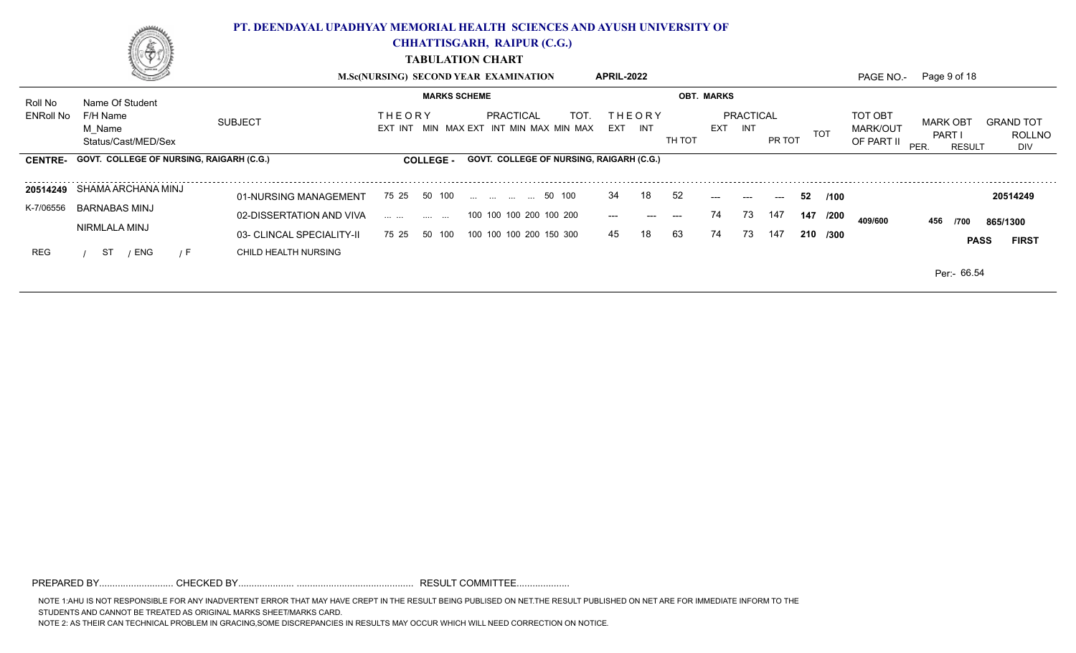

**CHHATTISGARH, RAIPUR (C.G.)**

**TABULATION CHART**

|                  | and the second state of the second state of the second state of the second state of the second state of the second state of the second state of the second state of the second state of the second state of the second state o |                           |                                     | M.Sc(NURSING) SECOND YEAR EXAMINATION            | APRIL-2022        |        |                   |                         |             |            |                                          | PAGE NO.- Page 9 of 18                                 |                                   |
|------------------|--------------------------------------------------------------------------------------------------------------------------------------------------------------------------------------------------------------------------------|---------------------------|-------------------------------------|--------------------------------------------------|-------------------|--------|-------------------|-------------------------|-------------|------------|------------------------------------------|--------------------------------------------------------|-----------------------------------|
| Roll No          | Name Of Student                                                                                                                                                                                                                |                           | <b>MARKS SCHEME</b>                 |                                                  |                   |        | <b>OBT. MARKS</b> |                         |             |            |                                          |                                                        |                                   |
| <b>ENRoll No</b> | F/H Name<br>M Name<br>Status/Cast/MED/Sex                                                                                                                                                                                      | <b>SUBJECT</b>            | <b>THEORY</b><br>MIN<br>EXT INT     | PRACTICAL<br>TOT.<br>MAX EXT INT MIN MAX MIN MAX | THEORY<br>EXT INT | TH TOT | EXT               | PRACTICAL<br><b>INT</b> | PR TOT      | <b>TOT</b> | TOT OBT<br><b>MARK/OUT</b><br>OF PART II | <b>MARK OBT</b><br><b>PART</b><br>PER<br><b>RESULT</b> | <b>GRAND TOT</b><br>ROLLNO<br>DIV |
|                  | CENTRE- GOVT. COLLEGE OF NURSING, RAIGARH (C.G.)                                                                                                                                                                               |                           | <b>COLLEGE -</b>                    | <b>GOVT. COLLEGE OF NURSING, RAIGARH (C.G.)</b>  |                   |        |                   |                         |             |            |                                          |                                                        |                                   |
|                  | 20514249 SHAMA ARCHANA MINJ                                                                                                                                                                                                    | 01-NURSING MANAGEMENT     | 75 25 50 100                        | 50 100                                           | 18<br>34          | 52     | $---$             | $---$                   | 52<br>$---$ | /100       |                                          |                                                        | 20514249                          |
| K-7/06556        | <b>BARNABAS MINJ</b>                                                                                                                                                                                                           | 02-DISSERTATION AND VIVA  | and the company of the state of the | 100 100 100 200 100 200                          | $---$<br>$---$    | $---$  | 74                | 73                      | 147<br>147  | /200       | 409/600                                  | 456<br>/700                                            | 865/1300                          |
|                  | NIRMLALA MINJ                                                                                                                                                                                                                  | 03- CLINCAL SPECIALITY-II | 50 100<br>75 25                     | 100 100 100 200 150 300                          | 18<br>45          | 63     | 74                | 73.                     | 147         | 210 /300   |                                          |                                                        | <b>PASS</b><br><b>FIRST</b>       |
| <b>REG</b>       | / ENG<br>ST<br>7 F                                                                                                                                                                                                             | CHILD HEALTH NURSING      |                                     |                                                  |                   |        |                   |                         |             |            |                                          |                                                        |                                   |
|                  |                                                                                                                                                                                                                                |                           |                                     |                                                  |                   |        |                   |                         |             |            |                                          | Per:- 66.54                                            |                                   |

PREPARED BY............................ CHECKED BY..................... ............................................ RESULT COMMITTEE....................

NOTE 1:AHU IS NOT RESPONSIBLE FOR ANY INADVERTENT ERROR THAT MAY HAVE CREPT IN THE RESULT BEING PUBLISED ON NET.THE RESULT PUBLISHED ON NET ARE FOR IMMEDIATE INFORM TO THE STUDENTS AND CANNOT BE TREATED AS ORIGINAL MARKS SHEET/MARKS CARD.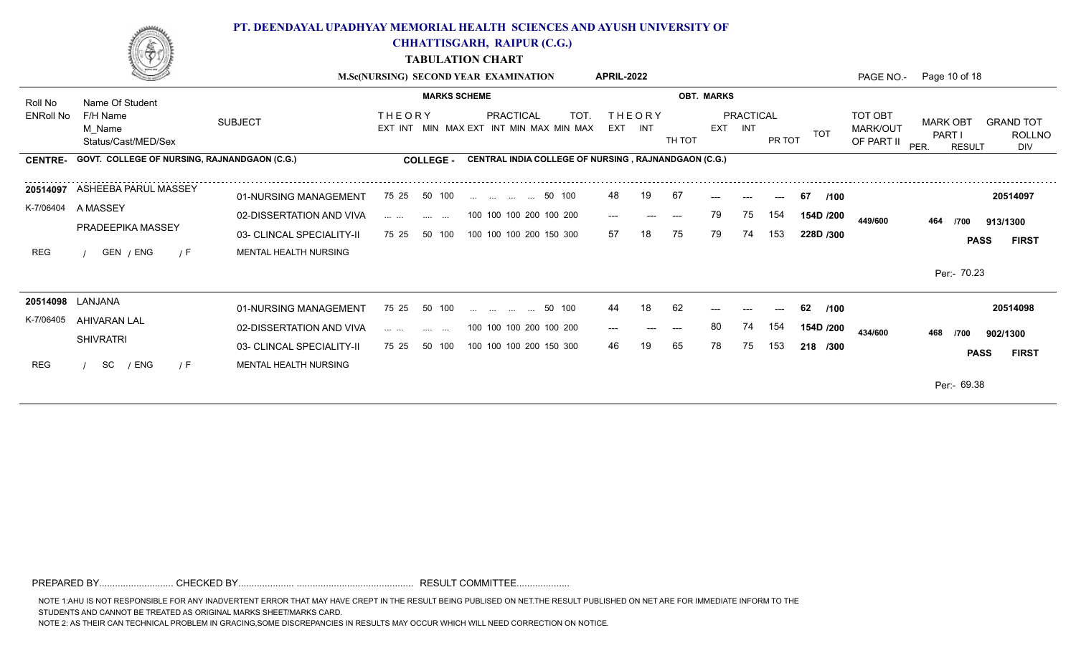

**CHHATTISGARH, RAIPUR (C.G.)**

**TABULATION CHART**

|           |                                                      |                           |                                                                                                                        | M.Sc(NURSING) SECOND YEAR EXAMINATION                | <b>APRIL-2022</b>            |                          |                   |                                   |            | PAGE NO.-                         | Page 10 of 18                                      |                                          |
|-----------|------------------------------------------------------|---------------------------|------------------------------------------------------------------------------------------------------------------------|------------------------------------------------------|------------------------------|--------------------------|-------------------|-----------------------------------|------------|-----------------------------------|----------------------------------------------------|------------------------------------------|
| Roll No   | Name Of Student                                      |                           | <b>MARKS SCHEME</b>                                                                                                    |                                                      |                              |                          | <b>OBT. MARKS</b> |                                   |            |                                   |                                                    |                                          |
| ENRoll No | F/H Name<br>M Name<br>Status/Cast/MED/Sex            | <b>SUBJECT</b>            | <b>THEORY</b><br>EXT INT MIN                                                                                           | PRACTICAL<br>TOT.<br>MAX EXT INT MIN MAX MIN MAX     | THEORY<br>EXT INT            | TH TOT                   | <b>EXT</b>        | PRACTICAL<br><b>INT</b><br>PR TOT | <b>TOT</b> | TOT OBT<br>MARK/OUT<br>OF PART II | <b>MARK OBT</b><br>PART I<br>PER.<br><b>RESULT</b> | <b>GRAND TOT</b><br><b>ROLLNO</b><br>DIV |
|           | CENTRE- GOVT. COLLEGE OF NURSING, RAJNANDGAON (C.G.) |                           | <b>COLLEGE -</b>                                                                                                       | CENTRAL INDIA COLLEGE OF NURSING, RAJNANDGAON (C.G.) |                              |                          |                   |                                   |            |                                   |                                                    |                                          |
| 20514097  | ASHEEBA PARUL MASSEY                                 | 01-NURSING MANAGEMENT     | 75 25<br>50 100                                                                                                        | 50 100                                               | 19<br>48                     | 67                       | $---$             | $---$<br>---                      | /100<br>67 |                                   |                                                    | 20514097                                 |
| K-7/06404 | A MASSEY                                             | 02-DISSERTATION AND VIVA  | <b>Contractor</b><br>$\mathbf{r}$ , $\mathbf{r}$ , $\mathbf{r}$ , $\mathbf{r}$                                         | 100 100 100 200 100 200                              | $\qquad \qquad - -$<br>$---$ | $\hspace{0.05cm} \ldots$ | 79                | 75<br>154                         | 154D /200  | 449/600                           | 464<br>/700                                        | 913/1300                                 |
|           | PRADEEPIKA MASSEY                                    | 03- CLINCAL SPECIALITY-II | 75 25<br>50 100                                                                                                        | 100 100 100 200 150 300                              | 57<br>18                     | 75                       | 79                | 74<br>153                         | 228D /300  |                                   |                                                    | <b>PASS</b><br><b>FIRST</b>              |
| REG       | GEN / ENG<br>$\sqrt{F}$                              | MENTAL HEALTH NURSING     |                                                                                                                        |                                                      |                              |                          |                   |                                   |            |                                   |                                                    |                                          |
|           |                                                      |                           |                                                                                                                        |                                                      |                              |                          |                   |                                   |            |                                   | Per:- 70.23                                        |                                          |
|           | 20514098 LANJANA                                     | 01-NURSING MANAGEMENT     | 75 25 50 100                                                                                                           | 50 100                                               | 18<br>44                     | 62                       | $---$             | $---$<br>$---$                    | 62<br>/100 |                                   |                                                    | 20514098                                 |
| K-7/06405 | AHIVARAN LAL                                         | 02-DISSERTATION AND VIVA  | <b>Second</b><br>$\mathcal{L}_{\mathcal{F}}$ and $\mathcal{L}_{\mathcal{F}}$ and $\mathcal{L}_{\mathcal{F}}$<br>$\sim$ | 100 100 100 200 100 200                              | $---$                        | ---                      | 80                | 74<br>154                         | 154D /200  | 434/600                           | 468<br>/700                                        | 902/1300                                 |
|           | <b>SHIVRATRI</b>                                     | 03- CLINCAL SPECIALITY-II | 50 100<br>75 25                                                                                                        | 100 100 100 200 150 300                              | 46<br>19                     | 65                       | 78                | 75<br>153                         | 218 /300   |                                   |                                                    | <b>PASS</b><br><b>FIRST</b>              |
| REG       | SC<br>/ ENG<br>/ F                                   | MENTAL HEALTH NURSING     |                                                                                                                        |                                                      |                              |                          |                   |                                   |            |                                   |                                                    |                                          |
|           |                                                      |                           |                                                                                                                        |                                                      |                              |                          |                   |                                   |            |                                   | Per:- 69.38                                        |                                          |

PREPARED BY............................ CHECKED BY..................... ............................................ RESULT COMMITTEE....................

NOTE 1:AHU IS NOT RESPONSIBLE FOR ANY INADVERTENT ERROR THAT MAY HAVE CREPT IN THE RESULT BEING PUBLISED ON NET.THE RESULT PUBLISHED ON NET ARE FOR IMMEDIATE INFORM TO THE STUDENTS AND CANNOT BE TREATED AS ORIGINAL MARKS SHEET/MARKS CARD.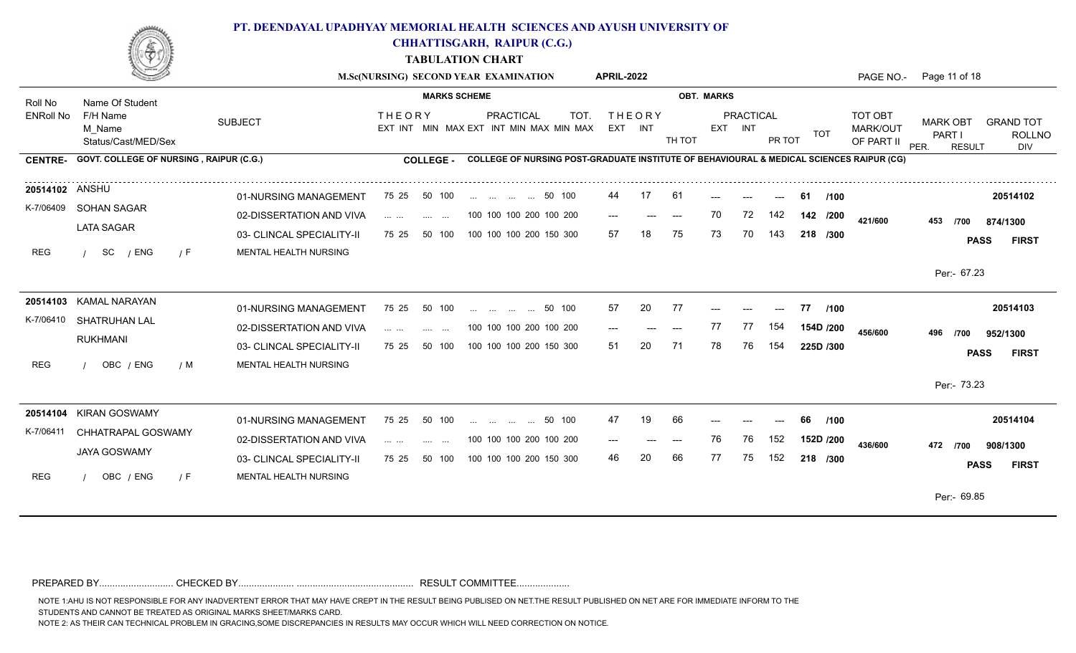

**CHHATTISGARH, RAIPUR (C.G.)**

**TABULATION CHART**

|                             |                                           |                                                       |                                                                                                                    | M.Sc(NURSING) SECOND YEAR EXAMINATION                                                    | <b>APRIL-2022</b>               |             |                             |            |                        |                                   | PAGE NO.- Page 11 of 18                            |                                          |
|-----------------------------|-------------------------------------------|-------------------------------------------------------|--------------------------------------------------------------------------------------------------------------------|------------------------------------------------------------------------------------------|---------------------------------|-------------|-----------------------------|------------|------------------------|-----------------------------------|----------------------------------------------------|------------------------------------------|
| Roll No                     | Name Of Student                           |                                                       | <b>MARKS SCHEME</b>                                                                                                |                                                                                          |                                 |             | <b>OBT. MARKS</b>           |            |                        |                                   |                                                    |                                          |
| <b>ENRoll No</b>            | F/H Name<br>M Name<br>Status/Cast/MED/Sex | <b>SUBJECT</b>                                        | <b>THEORY</b>                                                                                                      | <b>PRACTICAL</b><br>TOT.<br>EXT INT MIN MAX EXT INT MIN MAX MIN MAX                      | <b>THEORY</b><br>EXT INT        | TH TOT      | <b>PRACTICAL</b><br>EXT INT | PR TOT     | <b>TOT</b>             | TOT OBT<br>MARK/OUT<br>OF PART II | <b>MARK OBT</b><br>PART I<br>PER.<br><b>RESULT</b> | <b>GRAND TOT</b><br><b>ROLLNO</b><br>DIV |
| <b>CENTRE-</b>              | GOVT. COLLEGE OF NURSING, RAIPUR (C.G.)   |                                                       | <b>COLLEGE -</b>                                                                                                   | COLLEGE OF NURSING POST-GRADUATE INSTITUTE OF BEHAVIOURAL & MEDICAL SCIENCES RAIPUR (CG) |                                 |             |                             |            |                        |                                   |                                                    |                                          |
| 20514102 ANSHU<br>K-7/06409 | SOHAN SAGAR                               | 01-NURSING MANAGEMENT                                 | 75 25<br>50 100                                                                                                    | 50 100                                                                                   | 17<br>44                        | 61          |                             | $---$      | -61<br>/100            |                                   |                                                    | 20514102                                 |
|                             | <b>LATA SAGAR</b>                         | 02-DISSERTATION AND VIVA<br>03- CLINCAL SPECIALITY-II | $\mathcal{L}_{\mathcal{A}}$ . The set of $\mathcal{L}_{\mathcal{A}}$<br><b>Service Contract</b><br>75 25<br>50 100 | 100 100 100 200 100 200<br>100 100 100 200 150 300                                       | $---$<br>$---$<br>57<br>18      | $---$<br>75 | 72<br>70<br>73<br>70        | 142<br>143 | 142 /200<br>218 /300   | 421/600                           | 453<br>/700<br><b>PASS</b>                         | 874/1300<br><b>FIRST</b>                 |
| REG                         | SC<br>/ ENG<br>/ F                        | MENTAL HEALTH NURSING                                 |                                                                                                                    |                                                                                          |                                 |             |                             |            |                        |                                   | Per:- 67.23                                        |                                          |
| K-7/06410                   | 20514103 KAMAL NARAYAN<br>SHATRUHAN LAL   | 01-NURSING MANAGEMENT                                 | 75 25<br>50 100                                                                                                    | 50 100<br>$\mathbf{r}$ and $\mathbf{r}$ are associated as $\mathbf{r}$<br>$\sim$         | 20<br>57                        | 77          |                             |            | /100<br>77             |                                   |                                                    | 20514103                                 |
|                             | <b>RUKHMANI</b>                           | 02-DISSERTATION AND VIVA<br>03- CLINCAL SPECIALITY-II | $\cdots$ $\cdots$<br><b>Service</b><br>$\sim$ $\sim$<br>50 100<br>75 25                                            | 100 100 100 200 100 200<br>100 100 100 200 150 300                                       | $---$<br>51<br>20               | $---$<br>71 | 77<br>77<br>78<br>76        | 154<br>154 | 154D /200<br>225D /300 | 456/600                           | 496<br>/700<br><b>PASS</b>                         | 952/1300<br><b>FIRST</b>                 |
| <b>REG</b>                  | OBC / ENG<br>/ M                          | MENTAL HEALTH NURSING                                 |                                                                                                                    |                                                                                          |                                 |             |                             |            |                        |                                   | Per: 73.23                                         |                                          |
|                             | 20514104 KIRAN GOSWAMY                    | 01-NURSING MANAGEMENT                                 | 50 100<br>75 25                                                                                                    | 50 100<br>$\mathbf{r}$ and $\mathbf{r}$ are all $\mathbf{r}$ and $\mathbf{r}$            | 19<br>47                        | 66          |                             |            | 66<br>/100             |                                   |                                                    | 20514104                                 |
| K-7/06411                   | CHHATRAPAL GOSWAMY<br><b>JAYA GOSWAMY</b> | 02-DISSERTATION AND VIVA<br>03- CLINCAL SPECIALITY-II | and the con-<br><b>Service Control</b><br>75 25<br>50 100                                                          | 100 100 100 200 100 200<br>100 100 100 200 150 300                                       | $\qquad \qquad - -$<br>20<br>46 | $---$<br>66 | 76<br>76<br>77<br>75        | 152<br>152 | 152D /200<br>218 /300  | 436/600                           | 472 /700                                           | 908/1300                                 |
| <b>REG</b>                  | OBC / ENG<br>/ F                          | MENTAL HEALTH NURSING                                 |                                                                                                                    |                                                                                          |                                 |             |                             |            |                        |                                   | <b>PASS</b><br>Per:- 69.85                         | <b>FIRST</b>                             |
|                             |                                           |                                                       |                                                                                                                    |                                                                                          |                                 |             |                             |            |                        |                                   |                                                    |                                          |

PREPARED BY............................ CHECKED BY..................... ............................................ RESULT COMMITTEE....................

NOTE 1:AHU IS NOT RESPONSIBLE FOR ANY INADVERTENT ERROR THAT MAY HAVE CREPT IN THE RESULT BEING PUBLISED ON NET.THE RESULT PUBLISHED ON NET ARE FOR IMMEDIATE INFORM TO THE

STUDENTS AND CANNOT BE TREATED AS ORIGINAL MARKS SHEET/MARKS CARD.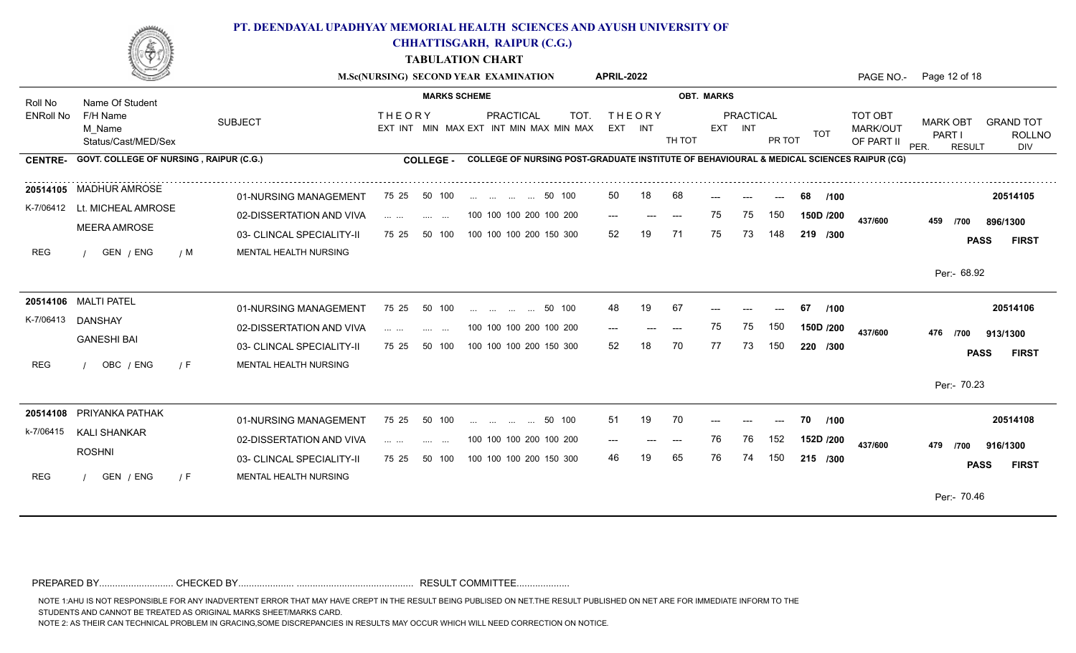

**CHHATTISGARH, RAIPUR (C.G.)**

**TABULATION CHART**

|                  |                                              |                                                    |                                                                                      | M.Sc(NURSING) SECOND YEAR EXAMINATION                                                    | <b>APRIL-2022</b>                                |                   |                                   | PAGE NO.-                                | Page 12 of 18                                                                                  |
|------------------|----------------------------------------------|----------------------------------------------------|--------------------------------------------------------------------------------------|------------------------------------------------------------------------------------------|--------------------------------------------------|-------------------|-----------------------------------|------------------------------------------|------------------------------------------------------------------------------------------------|
| Roll No          | Name Of Student                              |                                                    | <b>MARKS SCHEME</b>                                                                  |                                                                                          |                                                  | <b>OBT. MARKS</b> |                                   |                                          |                                                                                                |
| <b>ENRoll No</b> | F/H Name<br>M Name<br>Status/Cast/MED/Sex    | <b>SUBJECT</b>                                     | <b>THEORY</b>                                                                        | <b>PRACTICAL</b><br><b>TOT</b><br>EXT INT MIN MAX EXT INT MIN MAX MIN MAX                | <b>THEORY</b><br>EXT INT                         | EXT INT<br>TH TOT | PRACTICAL<br><b>TOT</b><br>PR TOT | <b>TOT OBT</b><br>MARK/OUT<br>OF PART II | <b>MARK OBT</b><br><b>GRAND TOT</b><br>PART I<br><b>ROLLNO</b><br>PER.<br><b>RESULT</b><br>DIV |
| <b>CENTRE-</b>   | GOVT. COLLEGE OF NURSING, RAIPUR (C.G.)      |                                                    | <b>COLLEGE -</b>                                                                     | COLLEGE OF NURSING POST-GRADUATE INSTITUTE OF BEHAVIOURAL & MEDICAL SCIENCES RAIPUR (CG) |                                                  |                   |                                   |                                          |                                                                                                |
|                  | 20514105 MADHUR AMROSE                       | 01-NURSING MANAGEMENT                              | 75 25 50 100                                                                         | 50 100                                                                                   | 50<br>18                                         | 68                | 68<br>/100                        |                                          | 20514105                                                                                       |
|                  | K-7/06412 Lt. MICHEAL AMROSE<br>MEERA AMROSE | 02-DISSERTATION AND VIVA                           | $\mathcal{L}_{\mathcal{A}}$ . The set of $\mathcal{L}_{\mathcal{A}}$<br>and the same | 100 100 100 200 100 200                                                                  | $\qquad \qquad - -$<br>$\qquad \qquad -\qquad -$ | 75<br>75<br>$---$ | 150<br>150D /200                  | 437/600                                  | 459<br>/700<br>896/1300                                                                        |
| <b>REG</b>       | GEN / ENG<br>/ M                             | 03- CLINCAL SPECIALITY-II<br>MENTAL HEALTH NURSING | 50 100<br>75 25                                                                      | 100 100 100 200 150 300                                                                  | 52<br>19                                         | 71<br>75          | 73<br>148<br>219 /300             |                                          | <b>PASS</b><br><b>FIRST</b>                                                                    |
|                  |                                              |                                                    |                                                                                      |                                                                                          |                                                  |                   |                                   |                                          | Per:- 68.92                                                                                    |
|                  | 20514106 MALTI PATEL                         | 01-NURSING MANAGEMENT                              | 75 25<br>50 100                                                                      | 50 100                                                                                   | 19<br>48                                         | -67               | /100<br>67                        |                                          | 20514106                                                                                       |
|                  | K-7/06413 DANSHAY<br><b>GANESHI BAI</b>      | 02-DISSERTATION AND VIVA                           | $\cdots$ $\cdots$<br>$\cdots$                                                        | 100 100 100 200 100 200                                                                  | $---$                                            | 75<br>75<br>$---$ | 150<br>150D /200                  | 437/600                                  | 476 /700<br>913/1300                                                                           |
| <b>REG</b>       | OBC / ENG<br>$\sqrt{F}$                      | 03- CLINCAL SPECIALITY-II<br>MENTAL HEALTH NURSING | 75 25<br>50 100                                                                      | 100 100 100 200 150 300                                                                  | 52                                               | 77<br>70<br>73    | 150<br>220 /300                   |                                          | <b>PASS</b><br><b>FIRST</b>                                                                    |
|                  |                                              |                                                    |                                                                                      |                                                                                          |                                                  |                   |                                   |                                          | Per:- 70.23                                                                                    |
|                  | 20514108 PRIYANKA PATHAK                     | 01-NURSING MANAGEMENT                              | 75 25<br>50 100                                                                      | 50 100<br>and the same of the same of the same                                           | 19<br>51                                         | 70                | /100<br>70<br>$---$               |                                          | 20514108                                                                                       |
|                  | k-7/06415 KALI SHANKAR<br><b>ROSHNI</b>      | 02-DISSERTATION AND VIVA                           | $\cdots$<br><b>Service</b><br>$\cdots$                                               | 100 100 100 200 100 200                                                                  | $---$                                            | 76<br>76<br>$---$ | 152<br>152D /200                  | 437/600                                  | 479<br>916/1300<br>/700                                                                        |
|                  |                                              | 03- CLINCAL SPECIALITY-II                          | 75 25<br>50 100                                                                      | 100 100 100 200 150 300                                                                  | 46                                               | 65<br>76          | 150<br>74<br>215 /300             |                                          | <b>PASS</b><br><b>FIRST</b>                                                                    |
| <b>REG</b>       | GEN / ENG<br>$\sqrt{F}$                      | MENTAL HEALTH NURSING                              |                                                                                      |                                                                                          |                                                  |                   |                                   |                                          | Per:- 70.46                                                                                    |
|                  |                                              |                                                    |                                                                                      |                                                                                          |                                                  |                   |                                   |                                          |                                                                                                |

PREPARED BY............................ CHECKED BY..................... ............................................ RESULT COMMITTEE....................

NOTE 1:AHU IS NOT RESPONSIBLE FOR ANY INADVERTENT ERROR THAT MAY HAVE CREPT IN THE RESULT BEING PUBLISED ON NET.THE RESULT PUBLISHED ON NET ARE FOR IMMEDIATE INFORM TO THE

STUDENTS AND CANNOT BE TREATED AS ORIGINAL MARKS SHEET/MARKS CARD.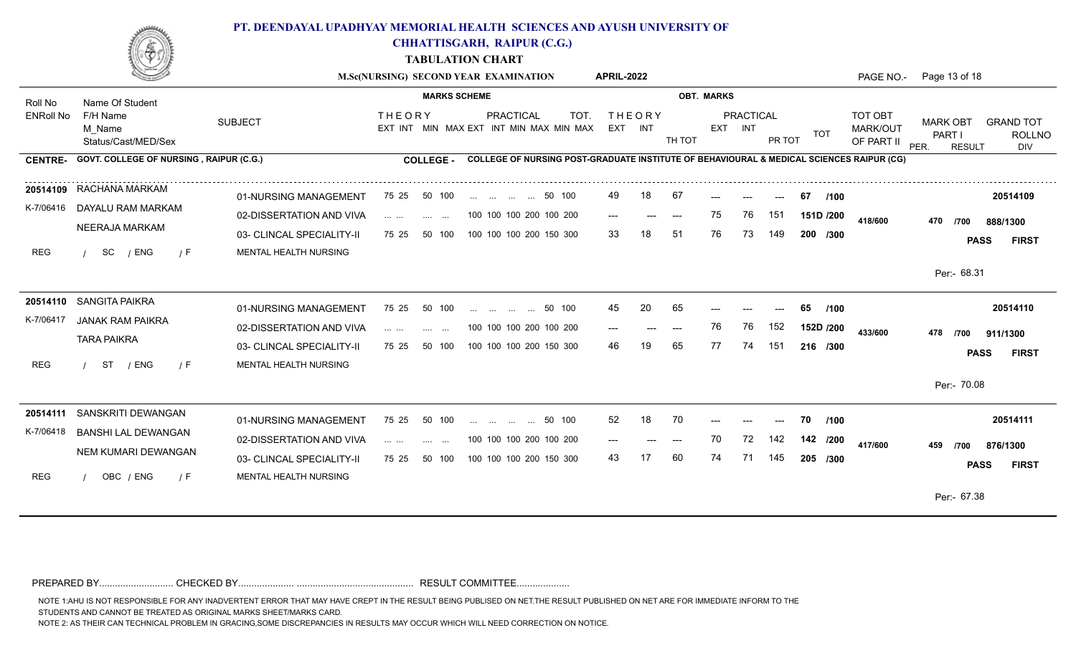

**CHHATTISGARH, RAIPUR (C.G.)**

**TABULATION CHART**

|                  |                                           |                                                    |                                                                                                                                                                                                                                                                                                                                                                                                                                                    | M.Sc(NURSING) SECOND YEAR EXAMINATION                                                    | <b>APRIL-2022</b>                  |                   |                                |            | PAGE NO.-                                | Page 13 of 18                                                                                  |
|------------------|-------------------------------------------|----------------------------------------------------|----------------------------------------------------------------------------------------------------------------------------------------------------------------------------------------------------------------------------------------------------------------------------------------------------------------------------------------------------------------------------------------------------------------------------------------------------|------------------------------------------------------------------------------------------|------------------------------------|-------------------|--------------------------------|------------|------------------------------------------|------------------------------------------------------------------------------------------------|
| Roll No          | Name Of Student                           |                                                    | <b>MARKS SCHEME</b>                                                                                                                                                                                                                                                                                                                                                                                                                                |                                                                                          |                                    | <b>OBT. MARKS</b> |                                |            |                                          |                                                                                                |
| <b>ENRoll No</b> | F/H Name<br>M Name<br>Status/Cast/MED/Sex | <b>SUBJECT</b>                                     | <b>THEORY</b>                                                                                                                                                                                                                                                                                                                                                                                                                                      | <b>PRACTICAL</b><br><b>TOT</b><br>EXT INT MIN MAX EXT INT MIN MAX MIN MAX                | <b>THEORY</b><br>EXT INT           | TH TOT            | PRACTICAL<br>EXT INT<br>PR TOT | <b>TOT</b> | <b>TOT OBT</b><br>MARK/OUT<br>OF PART II | <b>MARK OBT</b><br><b>GRAND TOT</b><br>PART I<br><b>ROLLNO</b><br>PER.<br><b>RESULT</b><br>DIV |
| <b>CENTRE-</b>   | GOVT. COLLEGE OF NURSING, RAIPUR (C.G.)   |                                                    | <b>COLLEGE -</b>                                                                                                                                                                                                                                                                                                                                                                                                                                   | COLLEGE OF NURSING POST-GRADUATE INSTITUTE OF BEHAVIOURAL & MEDICAL SCIENCES RAIPUR (CG) |                                    |                   |                                |            |                                          |                                                                                                |
|                  | 20514109 RACHANA MARKAM                   | 01-NURSING MANAGEMENT                              | 75 25<br>50 100                                                                                                                                                                                                                                                                                                                                                                                                                                    | 50 100                                                                                   | 18<br>49                           | 67                |                                | 67<br>/100 |                                          | 20514109                                                                                       |
| K-7/06416        | DAYALU RAM MARKAM<br>NEERAJA MARKAM       | 02-DISSERTATION AND VIVA                           | $\mathbf{1} \mathbf{1} \mathbf{1} \mathbf{1} \mathbf{1} \mathbf{1} \mathbf{1} \mathbf{1} \mathbf{1} \mathbf{1} \mathbf{1} \mathbf{1} \mathbf{1} \mathbf{1} \mathbf{1} \mathbf{1} \mathbf{1} \mathbf{1} \mathbf{1} \mathbf{1} \mathbf{1} \mathbf{1} \mathbf{1} \mathbf{1} \mathbf{1} \mathbf{1} \mathbf{1} \mathbf{1} \mathbf{1} \mathbf{1} \mathbf{1} \mathbf{1} \mathbf{1} \mathbf{1} \mathbf{1} \mathbf{1} \mathbf{$<br><b>Contract Contract</b> | 100 100 100 200 100 200                                                                  | $---$<br>$\qquad \qquad -\qquad -$ | 75<br>$---$       | 151<br>76                      | 151D /200  | 418/600                                  | 470<br>/700<br>888/1300                                                                        |
|                  |                                           | 03- CLINCAL SPECIALITY-II                          | 75 25<br>50 100                                                                                                                                                                                                                                                                                                                                                                                                                                    | 100 100 100 200 150 300                                                                  | 33<br>18                           | 51<br>76          | 73<br>149                      | 200 /300   |                                          | <b>PASS</b><br><b>FIRST</b>                                                                    |
| REG              | SC<br>/ ENG<br>$\sqrt{F}$                 | MENTAL HEALTH NURSING                              |                                                                                                                                                                                                                                                                                                                                                                                                                                                    |                                                                                          |                                    |                   |                                |            |                                          | Per:- 68.31                                                                                    |
|                  | 20514110 SANGITA PAIKRA                   | 01-NURSING MANAGEMENT                              | 75 25<br>50 100                                                                                                                                                                                                                                                                                                                                                                                                                                    | 50 100                                                                                   | 20<br>45                           | 65                |                                | /100<br>65 |                                          | 20514110                                                                                       |
| K-7/06417        | JANAK RAM PAIKRA<br><b>TARA PAIKRA</b>    | 02-DISSERTATION AND VIVA                           | $\cdots$ $\cdots$<br>$\sim$                                                                                                                                                                                                                                                                                                                                                                                                                        | 100 100 100 200 100 200                                                                  | $---$                              | 76<br>$---$       | 152<br>76                      | 152D /200  | 433/600                                  | 478<br>/700<br>911/1300                                                                        |
| <b>REG</b>       | ST<br>/ ENG<br>$\sqrt{F}$                 | 03- CLINCAL SPECIALITY-II<br>MENTAL HEALTH NURSING | 75 25<br>50 100                                                                                                                                                                                                                                                                                                                                                                                                                                    | 100 100 100 200 150 300                                                                  | 46                                 | 65<br>77          | 74<br>151                      | 216 /300   |                                          | <b>PASS</b><br><b>FIRST</b>                                                                    |
|                  |                                           |                                                    |                                                                                                                                                                                                                                                                                                                                                                                                                                                    |                                                                                          |                                    |                   |                                |            |                                          | Per:- 70.08                                                                                    |
| 20514111         | SANSKRITI DEWANGAN                        | 01-NURSING MANAGEMENT                              | 75 25<br>50 100                                                                                                                                                                                                                                                                                                                                                                                                                                    | 50 100<br>and the same of the same of the same                                           | 52<br>18                           | 70                |                                | 70<br>/100 |                                          | 20514111                                                                                       |
| K-7/06418        | <b>BANSHI LAL DEWANGAN</b>                | 02-DISSERTATION AND VIVA                           | $\cdots$<br>$\sim$ $\sim$ $\sim$                                                                                                                                                                                                                                                                                                                                                                                                                   | 100 100 100 200 100 200                                                                  | $---$                              | 70<br>$---$       | 72<br>142                      | 142 /200   | 417/600                                  | 459<br>876/1300<br>/700                                                                        |
|                  | NEM KUMARI DEWANGAN                       | 03- CLINCAL SPECIALITY-II                          | 75 25<br>50 100                                                                                                                                                                                                                                                                                                                                                                                                                                    | 100 100 100 200 150 300                                                                  | 43                                 | 60<br>74          | 71<br>145                      | 205 /300   |                                          | <b>PASS</b><br><b>FIRST</b>                                                                    |
| <b>REG</b>       | OBC / ENG<br>7 F                          | MENTAL HEALTH NURSING                              |                                                                                                                                                                                                                                                                                                                                                                                                                                                    |                                                                                          |                                    |                   |                                |            |                                          | Per:- 67.38                                                                                    |
|                  |                                           |                                                    |                                                                                                                                                                                                                                                                                                                                                                                                                                                    |                                                                                          |                                    |                   |                                |            |                                          |                                                                                                |

PREPARED BY............................ CHECKED BY..................... ............................................ RESULT COMMITTEE....................

NOTE 1:AHU IS NOT RESPONSIBLE FOR ANY INADVERTENT ERROR THAT MAY HAVE CREPT IN THE RESULT BEING PUBLISED ON NET.THE RESULT PUBLISHED ON NET ARE FOR IMMEDIATE INFORM TO THE

STUDENTS AND CANNOT BE TREATED AS ORIGINAL MARKS SHEET/MARKS CARD.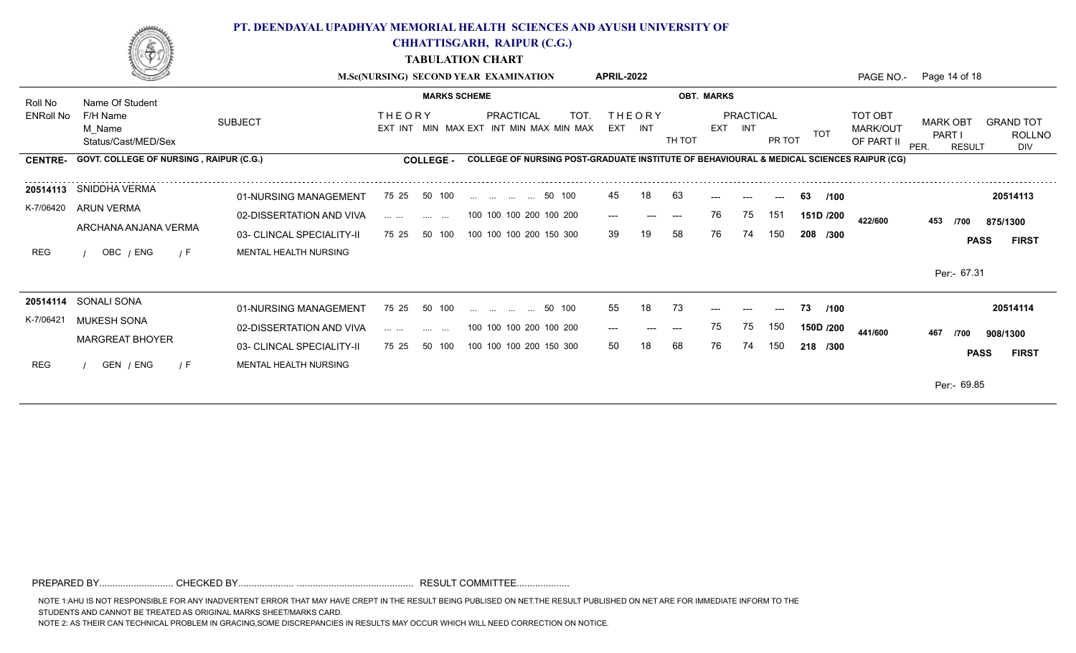

**CHHATTISGARH, RAIPUR (C.G.)**

**TABULATION CHART**

|                  |                                                 |                           | M.Sc(NURSING) SECOND YEAR EXAMINATION                                          |                     |                                                                                          |      | <b>APRIL-2022</b> |                          |                   |            |                         |        |            | PAGE NO.-                         |      | Page 14 of 18                              |                  |                      |
|------------------|-------------------------------------------------|---------------------------|--------------------------------------------------------------------------------|---------------------|------------------------------------------------------------------------------------------|------|-------------------|--------------------------|-------------------|------------|-------------------------|--------|------------|-----------------------------------|------|--------------------------------------------|------------------|----------------------|
| Roll No          | Name Of Student                                 |                           |                                                                                | <b>MARKS SCHEME</b> |                                                                                          |      |                   |                          | <b>OBT. MARKS</b> |            |                         |        |            |                                   |      |                                            |                  |                      |
| <b>ENRoll No</b> | F/H Name<br>M Name<br>Status/Cast/MED/Sex       | <b>SUBJECT</b>            | <b>THEORY</b><br>EXT INT<br><b>MIN</b>                                         |                     | PRACTICAL<br>MAX EXT INT MIN MAX MIN MAX                                                 | TOT. |                   | <b>THEORY</b><br>EXT INT | TH TOT            | <b>EXT</b> | PRACTICAL<br><b>INT</b> | PR TOT | <b>TOT</b> | TOT OBT<br>MARK/OUT<br>OF PART II | PER. | <b>MARK OBT</b><br>PART I<br><b>RESULT</b> | <b>GRAND TOT</b> | <b>ROLLNO</b><br>DIV |
|                  | CENTRE- GOVT. COLLEGE OF NURSING, RAIPUR (C.G.) |                           | <b>COLLEGE -</b>                                                               |                     | COLLEGE OF NURSING POST-GRADUATE INSTITUTE OF BEHAVIOURAL & MEDICAL SCIENCES RAIPUR (CG) |      |                   |                          |                   |            |                         |        |            |                                   |      |                                            |                  |                      |
|                  | 20514113 SNIDDHA VERMA                          | 01-NURSING MANAGEMENT     | 75 25<br>50 100                                                                |                     | 50 100                                                                                   |      | 45                | 18                       | 63                |            |                         | ---    | /100<br>63 |                                   |      |                                            | 20514113         |                      |
| K-7/06420        | ARUN VERMA                                      | 02-DISSERTATION AND VIVA  | <b>Contract Contract</b><br><b>Service Contract</b>                            |                     | 100 100 100 200 100 200                                                                  |      | $---$             | $---$                    | $---$             | 76         | 75                      | 151    | 151D /200  | 422/600                           |      | 453<br>/700                                | 875/1300         |                      |
|                  | ARCHANA ANJANA VERMA                            | 03- CLINCAL SPECIALITY-II | 75 25<br>50 100                                                                |                     | 100 100 100 200 150 300                                                                  |      | 39                | 19                       | 58                | 76         | 74                      | 150    | 208 /300   |                                   |      |                                            | <b>PASS</b>      | <b>FIRST</b>         |
| REG              | OBC / ENG<br>$\sqrt{F}$                         | MENTAL HEALTH NURSING     |                                                                                |                     |                                                                                          |      |                   |                          |                   |            |                         |        |            |                                   |      |                                            |                  |                      |
|                  |                                                 |                           |                                                                                |                     |                                                                                          |      |                   |                          |                   |            |                         |        |            |                                   |      | Per:- 67.31                                |                  |                      |
|                  | 20514114 SONALI SONA                            | 01-NURSING MANAGEMENT     | 75 25<br>50 100                                                                | and the state of    | 50 100                                                                                   |      | 55                | 18                       | 73                | $---$      | $---$                   | ---    | 73<br>/100 |                                   |      |                                            | 20514114         |                      |
| K-7/06421        | MUKESH SONA                                     | 02-DISSERTATION AND VIVA  | <b>Service Control</b><br>$\sim$ .<br><br><br><br><br><br><br><br><br><br><br> | $\cdots$            | 100 100 100 200 100 200                                                                  |      | $---$             | $---$                    | $---$             | 75         | 75                      | 150    | 150D /200  | 441/600                           | 467  | /700                                       | 908/1300         |                      |
|                  | MARGREAT BHOYER                                 | 03- CLINCAL SPECIALITY-II | 75 25<br>50 100                                                                |                     | 100 100 100 200 150 300                                                                  |      | 50                | 18                       | 68                | 76         | 74                      | 150    | 218 /300   |                                   |      |                                            | <b>PASS</b>      | <b>FIRST</b>         |
| <b>REG</b>       | GEN / ENG<br>/ F                                | MENTAL HEALTH NURSING     |                                                                                |                     |                                                                                          |      |                   |                          |                   |            |                         |        |            |                                   |      |                                            |                  |                      |
|                  |                                                 |                           |                                                                                |                     |                                                                                          |      |                   |                          |                   |            |                         |        |            |                                   |      | Per:- 69.85                                |                  |                      |

PREPARED BY............................ CHECKED BY..................... ............................................ RESULT COMMITTEE....................

NOTE 1:AHU IS NOT RESPONSIBLE FOR ANY INADVERTENT ERROR THAT MAY HAVE CREPT IN THE RESULT BEING PUBLISED ON NET.THE RESULT PUBLISHED ON NET ARE FOR IMMEDIATE INFORM TO THE STUDENTS AND CANNOT BE TREATED AS ORIGINAL MARKS SHEET/MARKS CARD.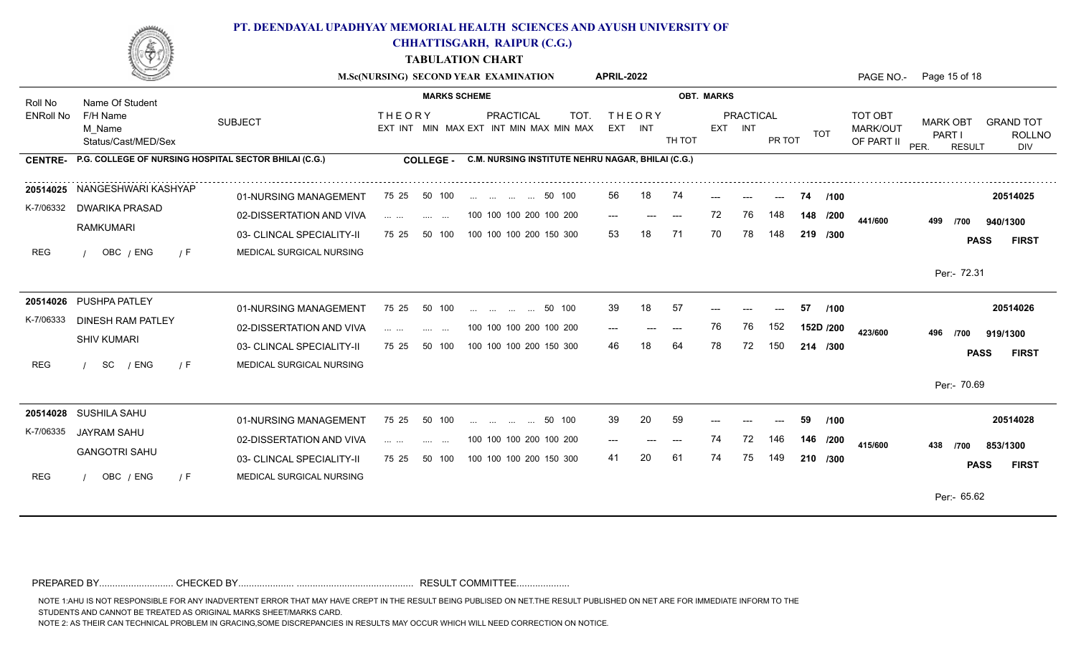

**CHHATTISGARH, RAIPUR (C.G.)**

**TABULATION CHART**

|                  |                                                       |                                                       |                                                                                                                                                                                                                                                                                                                                                                                                                                                                                                                      | M.Sc(NURSING) SECOND YEAR EXAMINATION                                          | <b>APRIL-2022</b>        |                   |                                |            | PAGE NO.-                         | Page 15 of 18                                                                                  |
|------------------|-------------------------------------------------------|-------------------------------------------------------|----------------------------------------------------------------------------------------------------------------------------------------------------------------------------------------------------------------------------------------------------------------------------------------------------------------------------------------------------------------------------------------------------------------------------------------------------------------------------------------------------------------------|--------------------------------------------------------------------------------|--------------------------|-------------------|--------------------------------|------------|-----------------------------------|------------------------------------------------------------------------------------------------|
| Roll No          | Name Of Student                                       |                                                       |                                                                                                                                                                                                                                                                                                                                                                                                                                                                                                                      | <b>MARKS SCHEME</b>                                                            |                          | <b>OBT. MARKS</b> |                                |            |                                   |                                                                                                |
| <b>ENRoll No</b> | F/H Name<br>M Name<br>Status/Cast/MED/Sex             | <b>SUBJECT</b>                                        | <b>THEORY</b>                                                                                                                                                                                                                                                                                                                                                                                                                                                                                                        | <b>PRACTICAL</b><br>TOT.<br>EXT INT MIN MAX EXT INT MIN MAX MIN MAX            | <b>THEORY</b><br>EXT INT | TH TOT            | PRACTICAL<br>EXT INT<br>PR TOT | TOT        | TOT OBT<br>MARK/OUT<br>OF PART II | <b>MARK OBT</b><br><b>GRAND TOT</b><br>PART I<br><b>ROLLNO</b><br>PER.<br><b>RESULT</b><br>DIV |
| <b>CENTRE-</b>   | P.G. COLLEGE OF NURSING HOSPITAL SECTOR BHILAI (C.G.) |                                                       | <b>COLLEGE -</b>                                                                                                                                                                                                                                                                                                                                                                                                                                                                                                     | C.M. NURSING INSTITUTE NEHRU NAGAR, BHILAI (C.G.)                              |                          |                   |                                |            |                                   |                                                                                                |
|                  | 20514025 NANGESHWARI KASHYAP                          | 01-NURSING MANAGEMENT                                 | 75 25<br>50 100                                                                                                                                                                                                                                                                                                                                                                                                                                                                                                      | 50 100                                                                         | 56<br>18                 | 74                |                                | /100<br>74 |                                   | 20514025                                                                                       |
| K-7/06332        | <b>DWARIKA PRASAD</b><br>RAMKUMARI                    | 02-DISSERTATION AND VIVA                              | $\mathbf{1} \cdot \mathbf{1} \cdot \mathbf{1} \cdot \mathbf{1} \cdot \mathbf{1} \cdot \mathbf{1} \cdot \mathbf{1} \cdot \mathbf{1} \cdot \mathbf{1} \cdot \mathbf{1} \cdot \mathbf{1} \cdot \mathbf{1} \cdot \mathbf{1} \cdot \mathbf{1} \cdot \mathbf{1} \cdot \mathbf{1} \cdot \mathbf{1} \cdot \mathbf{1} \cdot \mathbf{1} \cdot \mathbf{1} \cdot \mathbf{1} \cdot \mathbf{1} \cdot \mathbf{1} \cdot \mathbf{1} \cdot \mathbf{1} \cdot \mathbf{1} \cdot \mathbf{1} \cdot \mathbf{$<br>and the state of the state. | 100 100 100 200 100 200                                                        | $---$<br>$---$           | 72<br>$---$       | 148<br>76.                     | 148 /200   | 441/600                           | 499<br>/700<br>940/1300                                                                        |
| <b>REG</b>       | OBC / ENG<br>/ F                                      | 03- CLINCAL SPECIALITY-II<br>MEDICAL SURGICAL NURSING | 75 25<br>50 100                                                                                                                                                                                                                                                                                                                                                                                                                                                                                                      | 100 100 100 200 150 300                                                        | 53                       | 71<br>70          | 148<br>78                      | 219 /300   |                                   | <b>PASS</b><br><b>FIRST</b>                                                                    |
|                  |                                                       |                                                       |                                                                                                                                                                                                                                                                                                                                                                                                                                                                                                                      |                                                                                |                          |                   |                                |            |                                   | Per:- 72.31                                                                                    |
|                  | 20514026 PUSHPA PATLEY                                | 01-NURSING MANAGEMENT                                 | 50 100<br>75 25                                                                                                                                                                                                                                                                                                                                                                                                                                                                                                      | 50 100<br>the company of the company<br><b>Section</b><br>$\sim$ $\sim$ $\sim$ | 39<br>18                 | 57                | $---$                          | 1100<br>57 |                                   | 20514026                                                                                       |
| K-7/06333        | <b>DINESH RAM PATLEY</b><br><b>SHIV KUMARI</b>        | 02-DISSERTATION AND VIVA                              |                                                                                                                                                                                                                                                                                                                                                                                                                                                                                                                      | 100 100 100 200 100 200                                                        | $---$<br>---             | 76<br>$---$       | 152<br>76                      | 152D /200  | 423/600                           | 496<br>/700<br>919/1300                                                                        |
| <b>REG</b>       | SC<br>/ ENG<br>/ F                                    | 03- CLINCAL SPECIALITY-II<br>MEDICAL SURGICAL NURSING | 50 100<br>75 25                                                                                                                                                                                                                                                                                                                                                                                                                                                                                                      | 100 100 100 200 150 300                                                        | 46                       | 64<br>78          | 72.<br>50                      | 214 /300   |                                   | <b>PASS</b><br><b>FIRST</b>                                                                    |
|                  |                                                       |                                                       |                                                                                                                                                                                                                                                                                                                                                                                                                                                                                                                      |                                                                                |                          |                   |                                |            |                                   | Per:- 70.69                                                                                    |
|                  | 20514028 SUSHILA SAHU                                 | 01-NURSING MANAGEMENT                                 | 50 100<br>75 25                                                                                                                                                                                                                                                                                                                                                                                                                                                                                                      | 50 100<br>$\mathbf{r}$ . The state of $\mathbf{r}$                             | 39<br>20                 | 59                |                                | 59<br>/100 |                                   | 20514028                                                                                       |
| K-7/06335        | JAYRAM SAHU                                           | 02-DISSERTATION AND VIVA                              | .<br><b>Service</b>                                                                                                                                                                                                                                                                                                                                                                                                                                                                                                  | 100 100 100 200 100 200                                                        | $---$<br>---             | 74<br>---         | 72<br>146                      | 146 /200   | 415/600                           | 438<br>/700<br>853/1300                                                                        |
| <b>REG</b>       | <b>GANGOTRI SAHU</b>                                  | 03- CLINCAL SPECIALITY-II                             | 50 100<br>75 25                                                                                                                                                                                                                                                                                                                                                                                                                                                                                                      | 100 100 100 200 150 300                                                        | 41<br>20                 | 61<br>74          | 75<br>149                      | 210 /300   |                                   | <b>PASS</b><br><b>FIRST</b>                                                                    |
|                  | OBC / ENG<br>/ F                                      | MEDICAL SURGICAL NURSING                              |                                                                                                                                                                                                                                                                                                                                                                                                                                                                                                                      |                                                                                |                          |                   |                                |            |                                   | Per:- 65.62                                                                                    |
|                  |                                                       |                                                       |                                                                                                                                                                                                                                                                                                                                                                                                                                                                                                                      |                                                                                |                          |                   |                                |            |                                   |                                                                                                |

PREPARED BY............................ CHECKED BY..................... ............................................ RESULT COMMITTEE....................

NOTE 1:AHU IS NOT RESPONSIBLE FOR ANY INADVERTENT ERROR THAT MAY HAVE CREPT IN THE RESULT BEING PUBLISED ON NET.THE RESULT PUBLISHED ON NET ARE FOR IMMEDIATE INFORM TO THE

STUDENTS AND CANNOT BE TREATED AS ORIGINAL MARKS SHEET/MARKS CARD.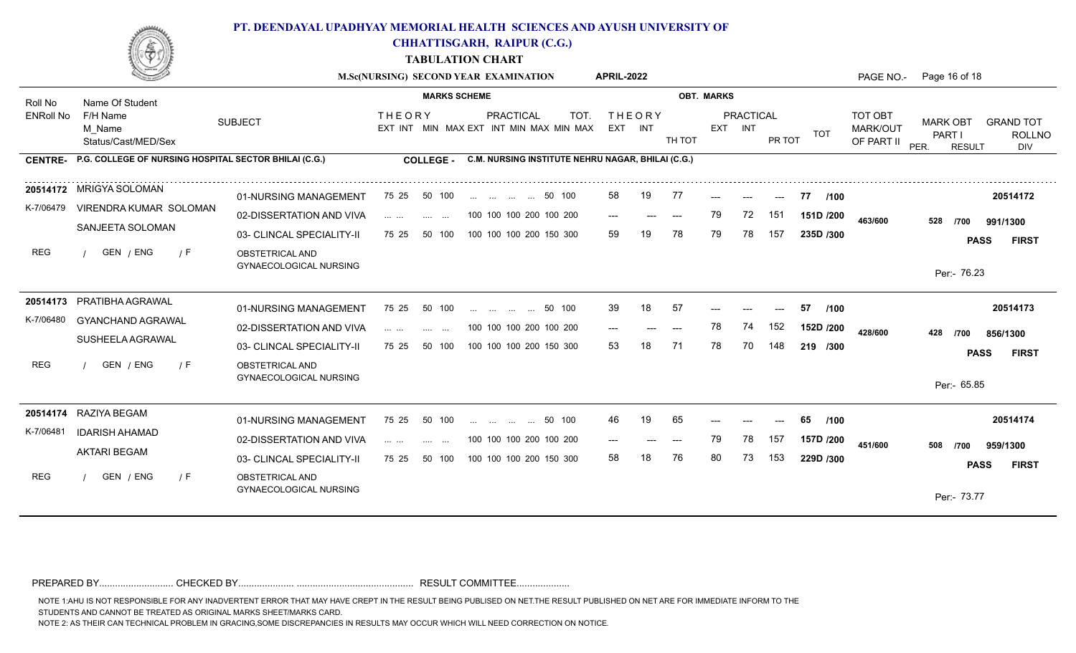

**CHHATTISGARH, RAIPUR (C.G.)**

**TABULATION CHART**

|                  |                                                               |                                                  | M.Sc(NURSING) SECOND YEAR EXAMINATION                                                                                                                                                       |                                                                                                            | <b>APRIL-2022</b>                  |                                       | Page 16 of 18<br>PAGE NO.-                                                                                                                               |
|------------------|---------------------------------------------------------------|--------------------------------------------------|---------------------------------------------------------------------------------------------------------------------------------------------------------------------------------------------|------------------------------------------------------------------------------------------------------------|------------------------------------|---------------------------------------|----------------------------------------------------------------------------------------------------------------------------------------------------------|
| Roll No          | Name Of Student                                               |                                                  | <b>MARKS SCHEME</b>                                                                                                                                                                         |                                                                                                            |                                    | <b>OBT. MARKS</b>                     |                                                                                                                                                          |
| <b>ENRoll No</b> | F/H Name<br>M Name<br>Status/Cast/MED/Sex                     | <b>SUBJECT</b>                                   | <b>THEORY</b>                                                                                                                                                                               | <b>PRACTICAL</b><br><b>TOT</b><br>EXT INT MIN MAX EXT INT MIN MAX MIN MAX                                  | <b>THEORY</b><br>EXT INT<br>TH TOT | PRACTICAL<br>EXT INT<br>тот<br>PR TOT | <b>TOT OBT</b><br><b>MARK OBT</b><br><b>GRAND TOT</b><br><b>MARK/OUT</b><br><b>PART I</b><br><b>ROLLNO</b><br>OF PART II<br>PER.<br><b>RESULT</b><br>DIV |
|                  | CENTRE- P.G. COLLEGE OF NURSING HOSPITAL SECTOR BHILAI (C.G.) |                                                  | COLLEGE -                                                                                                                                                                                   | C.M. NURSING INSTITUTE NEHRU NAGAR, BHILAI (C.G.)                                                          |                                    |                                       |                                                                                                                                                          |
|                  | 20514172 MRIGYA SOLOMAN                                       | 01-NURSING MANAGEMENT                            | 50 100<br>75 25                                                                                                                                                                             | 50 100                                                                                                     | 58<br>19<br>-77                    | 77<br>/100<br>$---$                   | 20514172                                                                                                                                                 |
| K-7/06479        | VIRENDRA KUMAR SOLOMAN                                        | 02-DISSERTATION AND VIVA                         | and their<br><b>Service Contract</b>                                                                                                                                                        | 100 100 100 200 100 200                                                                                    | $---$<br>$---$<br>$---$            | 79<br>72<br>151<br>151D /200          | 463/600<br>528<br>/700<br>991/1300                                                                                                                       |
|                  | SANJEETA SOLOMAN                                              | 03- CLINCAL SPECIALITY-II                        | 50 100<br>75 25                                                                                                                                                                             | 100 100 100 200 150 300                                                                                    | 78<br>59                           | 79<br>78<br>157<br>235D /300          | <b>PASS</b><br><b>FIRST</b>                                                                                                                              |
| REG              | GEN / ENG<br>/ F                                              | OBSTETRICAL AND<br><b>GYNAECOLOGICAL NURSING</b> |                                                                                                                                                                                             |                                                                                                            |                                    |                                       | Per:- 76.23                                                                                                                                              |
|                  | 20514173 PRATIBHA AGRAWAL                                     |                                                  |                                                                                                                                                                                             |                                                                                                            |                                    |                                       |                                                                                                                                                          |
| K-7/06480        | GYANCHAND AGRAWAL                                             | 01-NURSING MANAGEMENT                            | 75 25<br>50 100                                                                                                                                                                             | 50 100<br>and the same of the same                                                                         | 39<br>18<br>-57                    | 57<br>/100                            | 20514173                                                                                                                                                 |
|                  | SUSHEELA AGRAWAL                                              | 02-DISSERTATION AND VIVA                         | $\label{eq:1} \mathbf{1}_{\mathbf{1}}\mathbf{1}_{\mathbf{2}}\mathbf{1}_{\mathbf{3}}\cdots\mathbf{1}_{\mathbf{4}}\mathbf{1}_{\mathbf{4}}\mathbf{1}_{\mathbf{5}}$<br><b>Service</b><br>$\sim$ | 100 100 100 200 100 200                                                                                    | $---$<br>$---$<br>---              | 152<br>78<br>74<br>152D /200          | 428/600<br>428<br>856/1300<br>/700                                                                                                                       |
|                  |                                                               | 03- CLINCAL SPECIALITY-II                        | 75 25<br>50 100                                                                                                                                                                             | 100 100 100 200 150 300                                                                                    | 53<br>71                           | 78<br>70<br>148<br>219 /300           | <b>PASS</b><br><b>FIRST</b>                                                                                                                              |
| <b>REG</b>       | GEN / ENG<br>$\sqrt{F}$                                       | OBSTETRICAL AND<br><b>GYNAECOLOGICAL NURSING</b> |                                                                                                                                                                                             |                                                                                                            |                                    |                                       | Per:- 65.85                                                                                                                                              |
|                  | 20514174 RAZIYA BEGAM                                         | 01-NURSING MANAGEMENT                            | 50 100<br>75 25                                                                                                                                                                             | 50 100<br>$\mathbf{r}$ and $\mathbf{r}$ and $\mathbf{r}$<br>$\mathbf{r}$ and $\mathbf{r}$ and $\mathbf{r}$ | 65<br>46<br>19                     | 65<br>/100                            | 20514174                                                                                                                                                 |
| K-7/06481        | <b>IDARISH AHAMAD</b>                                         | 02-DISSERTATION AND VIVA                         | $\mathcal{L}_{\mathcal{A}}$ , $\mathcal{L}_{\mathcal{A}}$ , $\mathcal{L}_{\mathcal{A}}$ ,<br><b>Contract Contract</b>                                                                       | 100 100 100 200 100 200                                                                                    | $---$                              | 78<br>79<br>157<br>157D /200          | 451/600<br>508<br>959/1300<br>/700                                                                                                                       |
|                  | <b>AKTARI BEGAM</b>                                           | 03- CLINCAL SPECIALITY-II                        | 50 100<br>75 25                                                                                                                                                                             | 100 100 100 200 150 300                                                                                    | 76<br>58<br>18                     | 80<br>73<br>153<br>229D /300          | <b>FIRST</b><br><b>PASS</b>                                                                                                                              |
| REG              | GEN / ENG<br>/ F                                              | OBSTETRICAL AND<br>GYNAECOLOGICAL NURSING        |                                                                                                                                                                                             |                                                                                                            |                                    |                                       | Per:- 73.77                                                                                                                                              |

PREPARED BY............................ CHECKED BY..................... ............................................ RESULT COMMITTEE....................

NOTE 1:AHU IS NOT RESPONSIBLE FOR ANY INADVERTENT ERROR THAT MAY HAVE CREPT IN THE RESULT BEING PUBLISED ON NET.THE RESULT PUBLISHED ON NET ARE FOR IMMEDIATE INFORM TO THE

STUDENTS AND CANNOT BE TREATED AS ORIGINAL MARKS SHEET/MARKS CARD.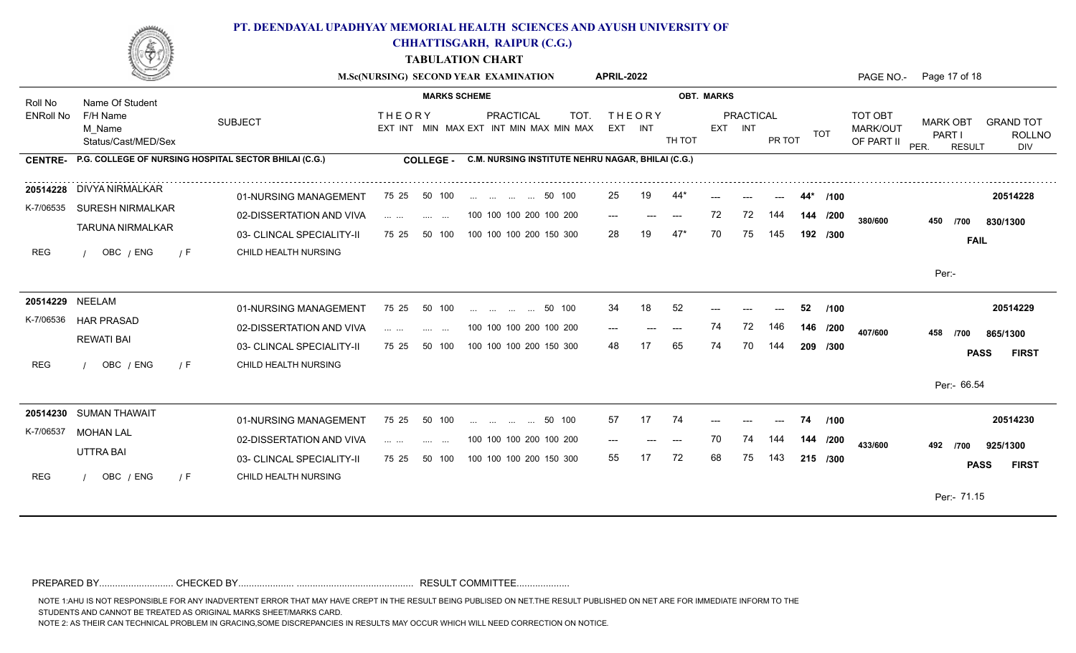

**CHHATTISGARH, RAIPUR (C.G.)**

**TABULATION CHART**

|                  |                                                               |                                                   |                                                                                          | M.Sc(NURSING) SECOND YEAR EXAMINATION                               | <b>APRIL-2022</b>                  |                   |                      |        |            |                                   | PAGE NO.- Page 17 of 18                            |                                          |
|------------------|---------------------------------------------------------------|---------------------------------------------------|------------------------------------------------------------------------------------------|---------------------------------------------------------------------|------------------------------------|-------------------|----------------------|--------|------------|-----------------------------------|----------------------------------------------------|------------------------------------------|
| Roll No          | Name Of Student                                               |                                                   | <b>MARKS SCHEME</b>                                                                      |                                                                     |                                    | <b>OBT. MARKS</b> |                      |        |            |                                   |                                                    |                                          |
| <b>ENRoll No</b> | F/H Name<br>M Name<br>Status/Cast/MED/Sex                     | <b>SUBJECT</b>                                    | <b>THEORY</b>                                                                            | <b>PRACTICAL</b><br>TOT.<br>EXT INT MIN MAX EXT INT MIN MAX MIN MAX | THEORY<br>EXT INT                  | TH TOT            | PRACTICAL<br>EXT INT | PR TOT | TOT        | TOT OBT<br>MARK/OUT<br>OF PART II | <b>MARK OBT</b><br>PART I<br>PER.<br><b>RESULT</b> | <b>GRAND TOT</b><br><b>ROLLNO</b><br>DIV |
|                  | CENTRE- P.G. COLLEGE OF NURSING HOSPITAL SECTOR BHILAI (C.G.) |                                                   | <b>COLLEGE -</b>                                                                         | C.M. NURSING INSTITUTE NEHRU NAGAR, BHILAI (C.G.)                   |                                    |                   |                      |        |            |                                   |                                                    |                                          |
|                  | 20514228 DIVYA NIRMALKAR                                      | 01-NURSING MANAGEMENT                             | 50 100<br>75 25                                                                          | 50 100                                                              | 25<br>19                           | 44                |                      |        | /100       |                                   |                                                    | 20514228                                 |
| K-7/06535        | SURESH NIRMALKAR<br><b>TARUNA NIRMALKAR</b>                   | 02-DISSERTATION AND VIVA                          | $\mathbf{r}$ . The set of $\mathbf{r}$<br><b>Contract Contract</b>                       | 100 100 100 200 100 200                                             | $---$<br>$\qquad \qquad -\qquad -$ | $---$             | 72<br>72             | 144    | 144 /200   | 380/600                           | 450<br>/700                                        | 830/1300                                 |
| <b>REG</b>       | OBC / ENG<br>$\sqrt{F}$                                       | 03- CLINCAL SPECIALITY-II<br>CHILD HEALTH NURSING | 75 25<br>50 100                                                                          | 100 100 100 200 150 300                                             | 28                                 |                   | 75                   | 145    | 192 /300   |                                   |                                                    | <b>FAIL</b>                              |
|                  |                                                               |                                                   |                                                                                          |                                                                     |                                    |                   |                      |        |            |                                   | Per:-                                              |                                          |
| 20514229 NEELAM  |                                                               | 01-NURSING MANAGEMENT                             | 75 25<br>50 100                                                                          | 50 100<br><b>Second State</b><br><b>Contract Contract</b>           | 34<br>18                           | 52                |                      |        | 52<br>/100 |                                   |                                                    | 20514229                                 |
| K-7/06536        | <b>HAR PRASAD</b><br><b>REWATI BAI</b>                        | 02-DISSERTATION AND VIVA                          | $\cdots$<br><b>Service</b>                                                               | 100 100 100 200 100 200                                             | $---$<br>---                       | $---$             | 72<br>74             | 146    | 146 /200   | 407/600                           | 458<br>/700                                        | 865/1300                                 |
| <b>REG</b>       | OBC / ENG<br>$\sqrt{F}$                                       | 03- CLINCAL SPECIALITY-II<br>CHILD HEALTH NURSING | 50 100<br>75 25                                                                          | 100 100 100 200 150 300                                             | 48                                 | 65                | 74<br>70             | 144    | 209 /300   |                                   |                                                    | <b>FIRST</b><br><b>PASS</b>              |
|                  |                                                               |                                                   |                                                                                          |                                                                     |                                    |                   |                      |        |            |                                   | Per:- 66.54                                        |                                          |
|                  | 20514230 SUMAN THAWAIT                                        | 01-NURSING MANAGEMENT                             | 75 25<br>50 100                                                                          | 50 100<br>المتناول التبني المتناولين                                | 57<br>17                           | 74                |                      | $---$  | /100<br>74 |                                   |                                                    | 20514230                                 |
| K-7/06537        | <b>MOHAN LAL</b>                                              | 02-DISSERTATION AND VIVA                          | $\mathbf{r}$ , $\mathbf{r}$ , $\mathbf{r}$ , $\mathbf{r}$<br><b>Contract</b><br>$\cdots$ | 100 100 100 200 100 200                                             | $---$<br>$---$                     | $---$             | 74                   | 144    | 144 /200   | 433/600                           | 492<br>/700                                        | 925/1300                                 |
|                  | UTTRA BAI                                                     | 03- CLINCAL SPECIALITY-II                         | 75 25<br>50 100                                                                          | 100 100 100 200 150 300                                             | 55<br>17                           | 72                | 68<br>75             | 143    | 215 /300   |                                   |                                                    | <b>PASS</b><br><b>FIRST</b>              |
| <b>REG</b>       | OBC / ENG<br>$\sqrt{F}$                                       | CHILD HEALTH NURSING                              |                                                                                          |                                                                     |                                    |                   |                      |        |            |                                   | Per:- 71.15                                        |                                          |
|                  |                                                               |                                                   |                                                                                          |                                                                     |                                    |                   |                      |        |            |                                   |                                                    |                                          |

PREPARED BY............................ CHECKED BY..................... ............................................ RESULT COMMITTEE....................

NOTE 1:AHU IS NOT RESPONSIBLE FOR ANY INADVERTENT ERROR THAT MAY HAVE CREPT IN THE RESULT BEING PUBLISED ON NET.THE RESULT PUBLISHED ON NET ARE FOR IMMEDIATE INFORM TO THE

STUDENTS AND CANNOT BE TREATED AS ORIGINAL MARKS SHEET/MARKS CARD.